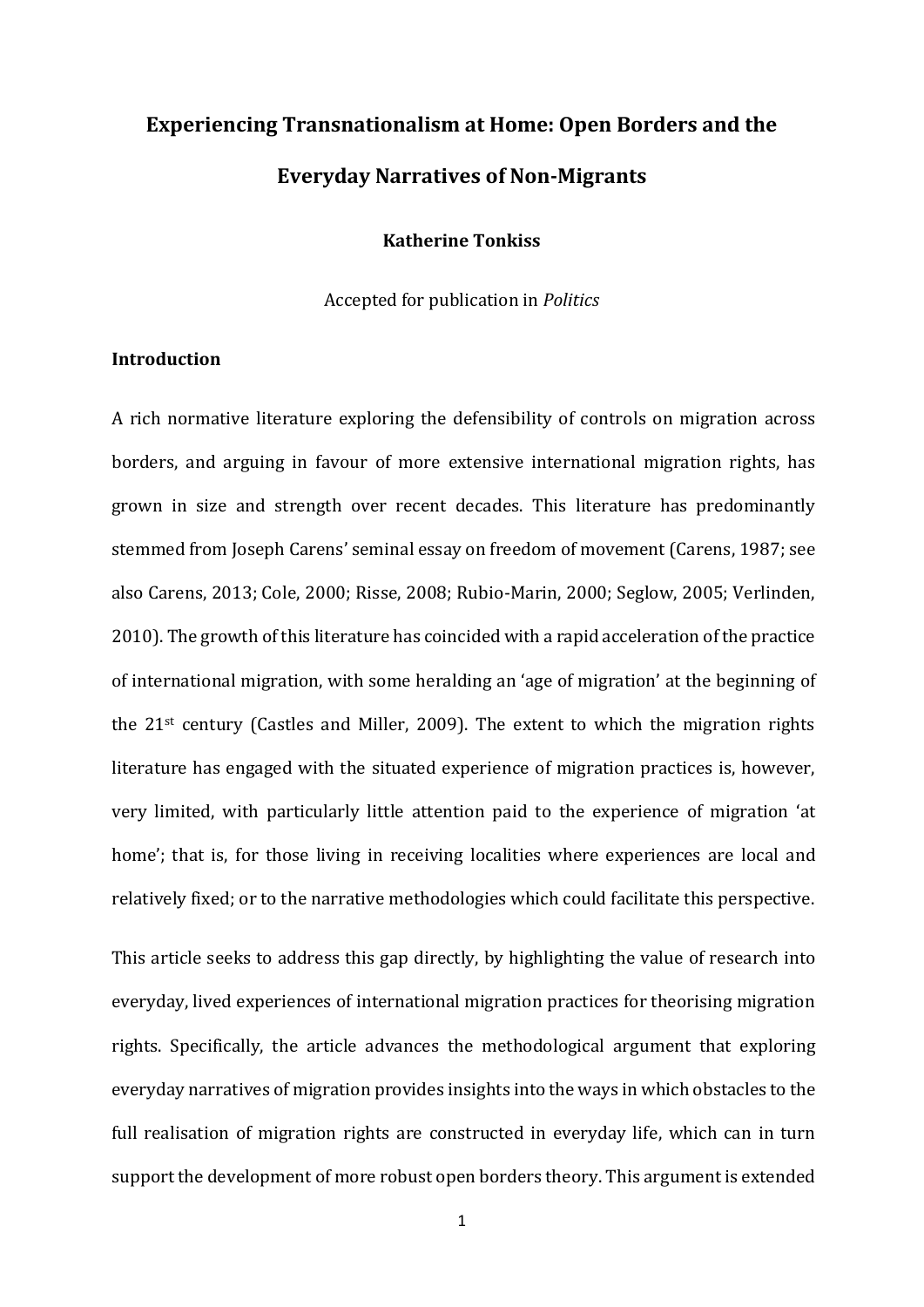# **Experiencing Transnationalism at Home: Open Borders and the Everyday Narratives of Non-Migrants**

#### **Katherine Tonkiss**

Accepted for publication in *Politics*

# **Introduction**

A rich normative literature exploring the defensibility of controls on migration across borders, and arguing in favour of more extensive international migration rights, has grown in size and strength over recent decades. This literature has predominantly stemmed from Joseph Carens' seminal essay on freedom of movement (Carens, 1987; see also Carens, 2013; Cole, 2000; Risse, 2008; Rubio-Marin, 2000; Seglow, 2005; Verlinden, 2010). The growth of this literature has coincided with a rapid acceleration of the practice of international migration, with some heralding an 'age of migration' at the beginning of the 21st century (Castles and Miller, 2009). The extent to which the migration rights literature has engaged with the situated experience of migration practices is, however, very limited, with particularly little attention paid to the experience of migration 'at home'; that is, for those living in receiving localities where experiences are local and relatively fixed; or to the narrative methodologies which could facilitate this perspective.

This article seeks to address this gap directly, by highlighting the value of research into everyday, lived experiences of international migration practices for theorising migration rights. Specifically, the article advances the methodological argument that exploring everyday narratives of migration provides insights into the ways in which obstacles to the full realisation of migration rights are constructed in everyday life, which can in turn support the development of more robust open borders theory. This argument is extended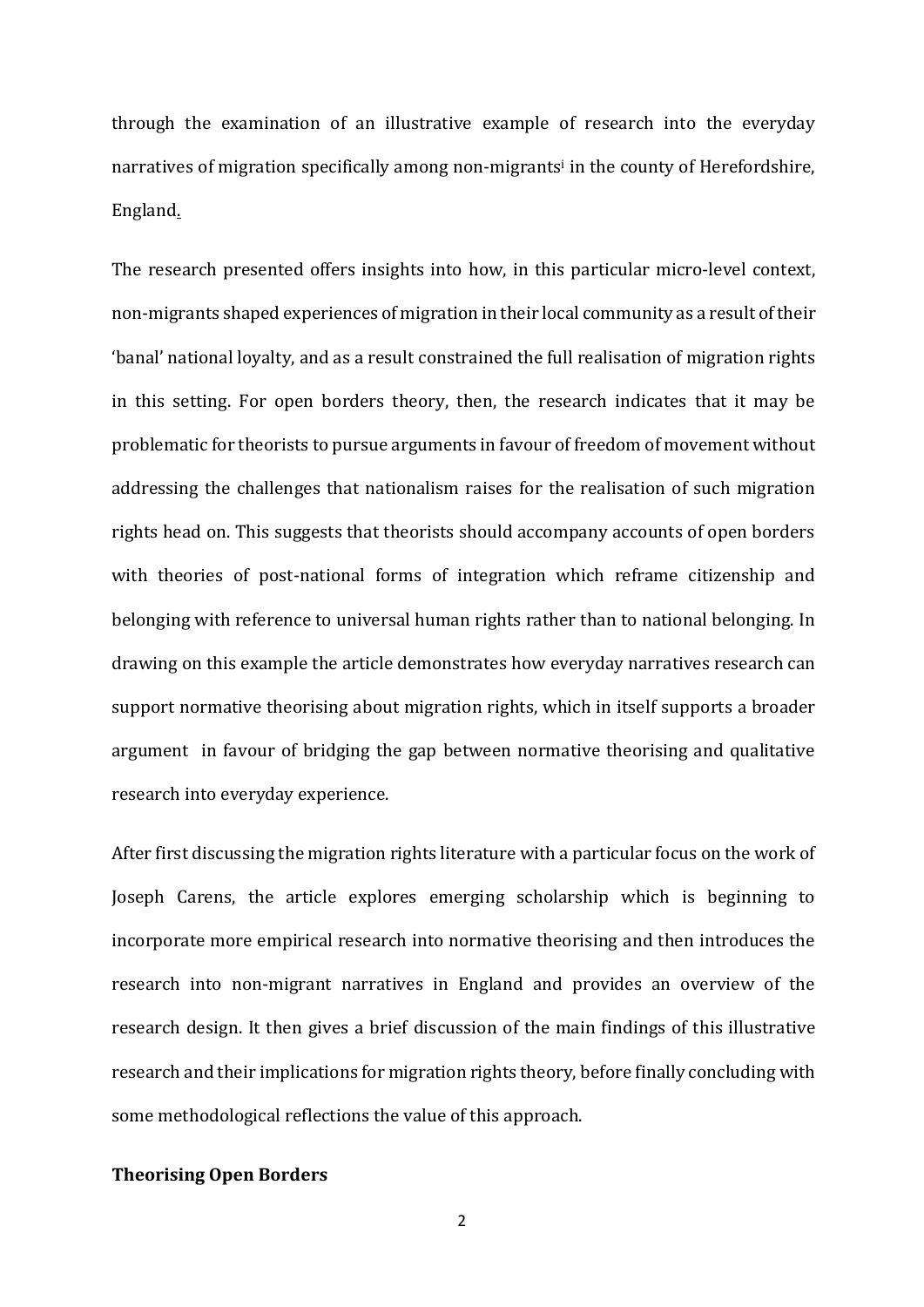through the examination of an illustrative example of research into the everyday narratives of migration specifically among non-migrants<sup>i</sup> in the county of Herefordshire, England.

The research presented offers insights into how, in this particular micro-level context, non-migrants shaped experiences of migration in their local community as a result of their 'banal' national loyalty, and as a result constrained the full realisation of migration rights in this setting. For open borders theory, then, the research indicates that it may be problematic for theorists to pursue arguments in favour of freedom of movement without addressing the challenges that nationalism raises for the realisation of such migration rights head on. This suggests that theorists should accompany accounts of open borders with theories of post-national forms of integration which reframe citizenship and belonging with reference to universal human rights rather than to national belonging. In drawing on this example the article demonstrates how everyday narratives research can support normative theorising about migration rights, which in itself supports a broader argument in favour of bridging the gap between normative theorising and qualitative research into everyday experience.

After first discussing the migration rights literature with a particular focus on the work of Joseph Carens, the article explores emerging scholarship which is beginning to incorporate more empirical research into normative theorising and then introduces the research into non-migrant narratives in England and provides an overview of the research design. It then gives a brief discussion of the main findings of this illustrative research and their implications for migration rights theory, before finally concluding with some methodological reflections the value of this approach.

## **Theorising Open Borders**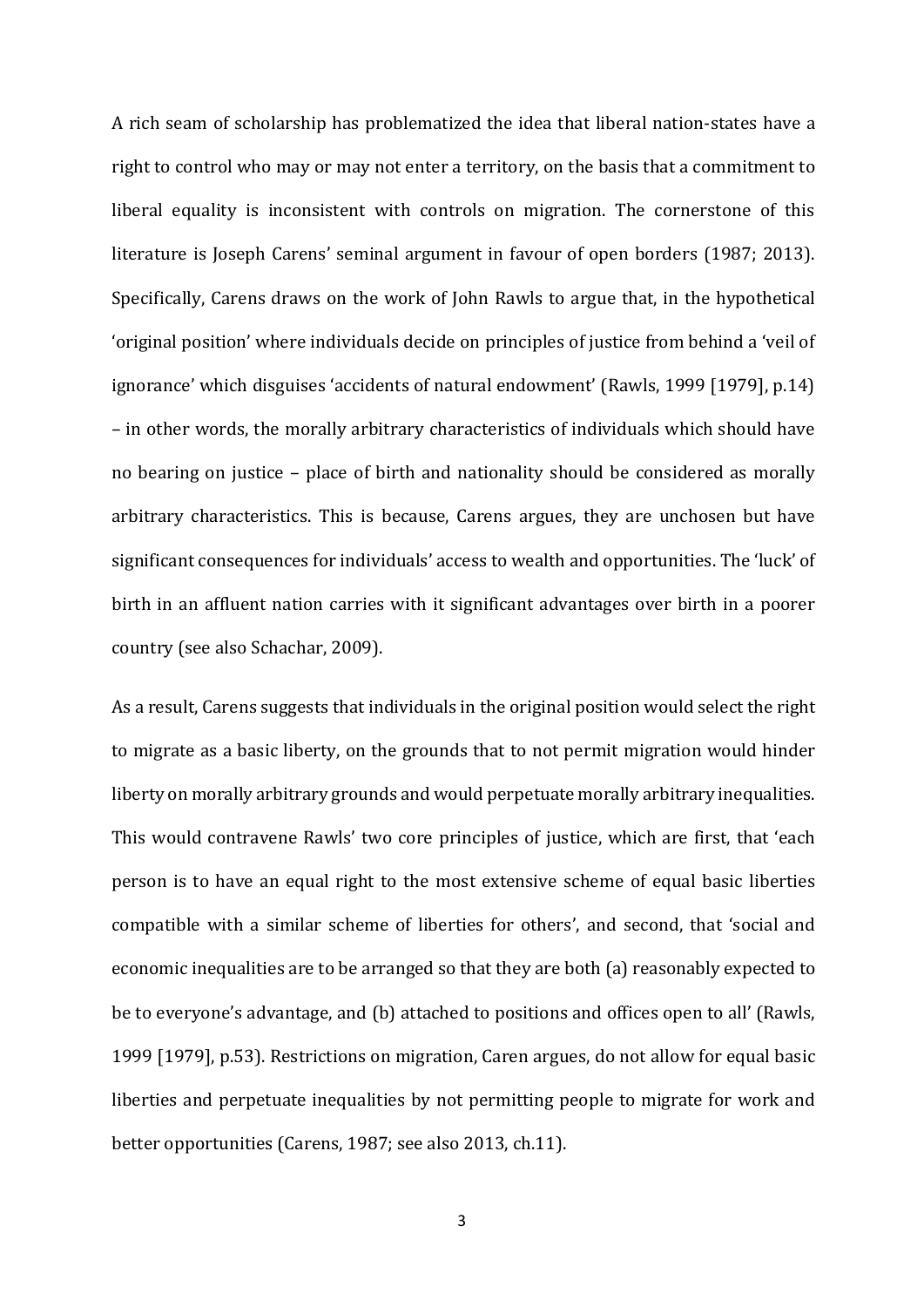A rich seam of scholarship has problematized the idea that liberal nation-states have a right to control who may or may not enter a territory, on the basis that a commitment to liberal equality is inconsistent with controls on migration. The cornerstone of this literature is Joseph Carens' seminal argument in favour of open borders (1987; 2013). Specifically, Carens draws on the work of John Rawls to argue that, in the hypothetical 'original position' where individuals decide on principles of justice from behind a 'veil of ignorance' which disguises 'accidents of natural endowment' (Rawls, 1999 [1979], p.14) – in other words, the morally arbitrary characteristics of individuals which should have no bearing on justice – place of birth and nationality should be considered as morally arbitrary characteristics. This is because, Carens argues, they are unchosen but have significant consequences for individuals' access to wealth and opportunities. The 'luck' of birth in an affluent nation carries with it significant advantages over birth in a poorer country (see also Schachar, 2009).

As a result, Carens suggests that individuals in the original position would select the right to migrate as a basic liberty, on the grounds that to not permit migration would hinder liberty on morally arbitrary grounds and would perpetuate morally arbitrary inequalities. This would contravene Rawls' two core principles of justice, which are first, that 'each person is to have an equal right to the most extensive scheme of equal basic liberties compatible with a similar scheme of liberties for others', and second, that 'social and economic inequalities are to be arranged so that they are both (a) reasonably expected to be to everyone's advantage, and (b) attached to positions and offices open to all' (Rawls, 1999 [1979], p.53). Restrictions on migration, Caren argues, do not allow for equal basic liberties and perpetuate inequalities by not permitting people to migrate for work and better opportunities (Carens, 1987; see also 2013, ch.11).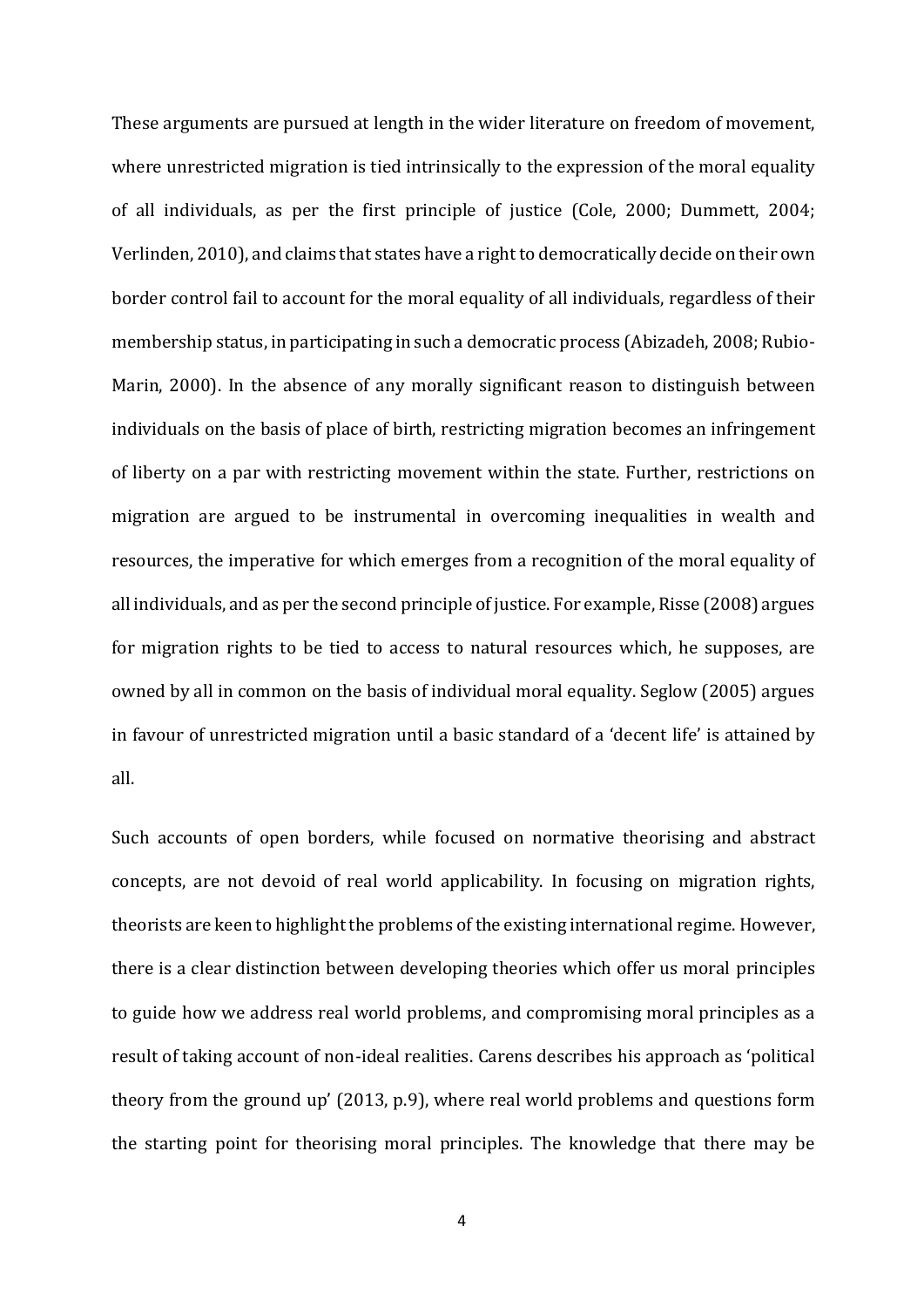These arguments are pursued at length in the wider literature on freedom of movement, where unrestricted migration is tied intrinsically to the expression of the moral equality of all individuals, as per the first principle of justice (Cole, 2000; Dummett, 2004; Verlinden, 2010), and claims that states have a right to democratically decide on their own border control fail to account for the moral equality of all individuals, regardless of their membership status, in participating in such a democratic process (Abizadeh, 2008; Rubio-Marin, 2000). In the absence of any morally significant reason to distinguish between individuals on the basis of place of birth, restricting migration becomes an infringement of liberty on a par with restricting movement within the state. Further, restrictions on migration are argued to be instrumental in overcoming inequalities in wealth and resources, the imperative for which emerges from a recognition of the moral equality of all individuals, and as per the second principle of justice. For example, Risse (2008) argues for migration rights to be tied to access to natural resources which, he supposes, are owned by all in common on the basis of individual moral equality. Seglow (2005) argues in favour of unrestricted migration until a basic standard of a 'decent life' is attained by all.

Such accounts of open borders, while focused on normative theorising and abstract concepts, are not devoid of real world applicability. In focusing on migration rights, theorists are keen to highlight the problems of the existing international regime. However, there is a clear distinction between developing theories which offer us moral principles to guide how we address real world problems, and compromising moral principles as a result of taking account of non-ideal realities. Carens describes his approach as 'political theory from the ground up' (2013, p.9), where real world problems and questions form the starting point for theorising moral principles. The knowledge that there may be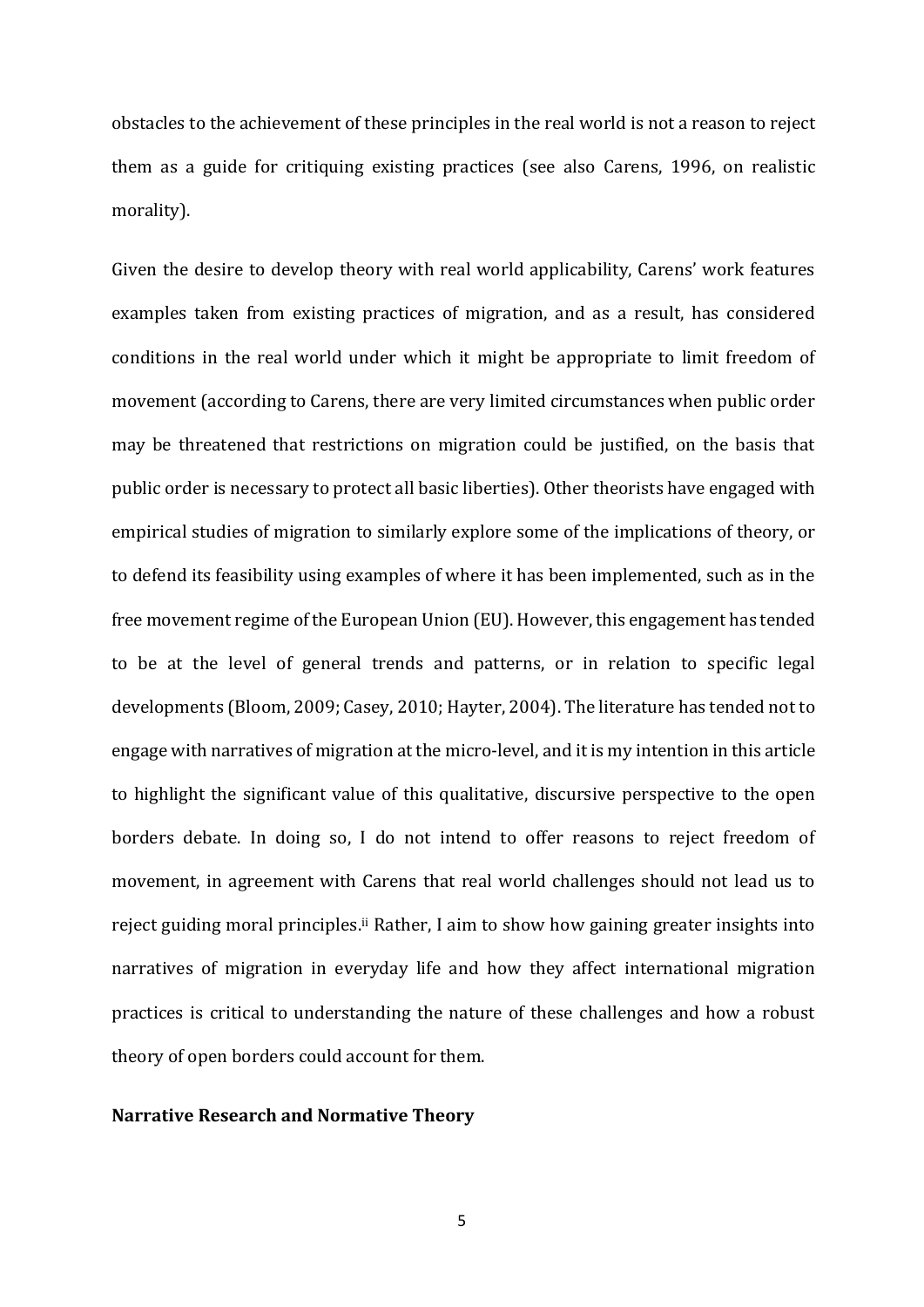obstacles to the achievement of these principles in the real world is not a reason to reject them as a guide for critiquing existing practices (see also Carens, 1996, on realistic morality).

Given the desire to develop theory with real world applicability, Carens' work features examples taken from existing practices of migration, and as a result, has considered conditions in the real world under which it might be appropriate to limit freedom of movement (according to Carens, there are very limited circumstances when public order may be threatened that restrictions on migration could be justified, on the basis that public order is necessary to protect all basic liberties). Other theorists have engaged with empirical studies of migration to similarly explore some of the implications of theory, or to defend its feasibility using examples of where it has been implemented, such as in the free movement regime of the European Union (EU). However, this engagement has tended to be at the level of general trends and patterns, or in relation to specific legal developments (Bloom, 2009; Casey, 2010; Hayter, 2004). The literature has tended not to engage with narratives of migration at the micro-level, and it is my intention in this article to highlight the significant value of this qualitative, discursive perspective to the open borders debate. In doing so, I do not intend to offer reasons to reject freedom of movement, in agreement with Carens that real world challenges should not lead us to reject guiding moral principles.<sup>ii</sup> Rather, I aim to show how gaining greater insights into narratives of migration in everyday life and how they affect international migration practices is critical to understanding the nature of these challenges and how a robust theory of open borders could account for them.

#### **Narrative Research and Normative Theory**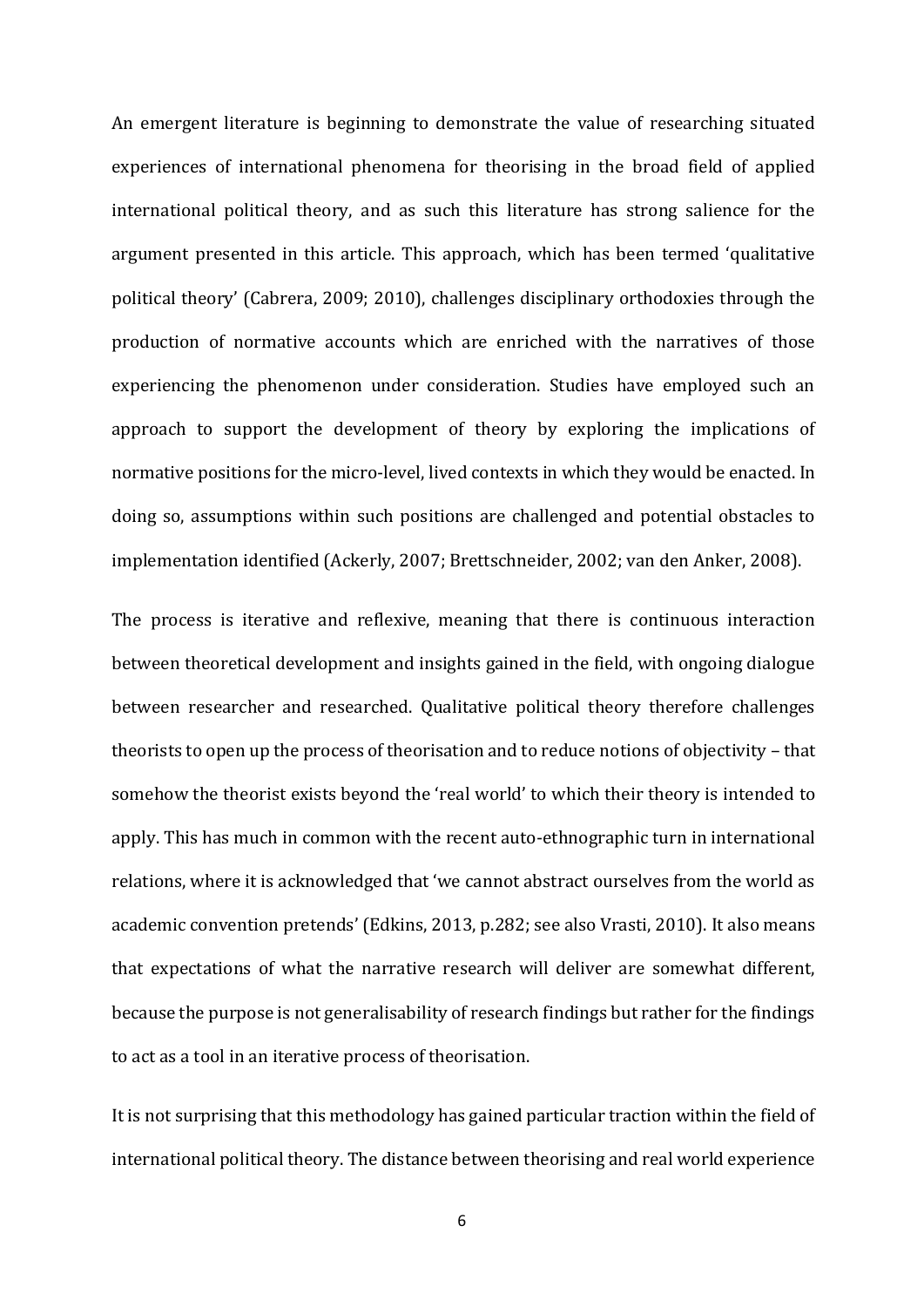An emergent literature is beginning to demonstrate the value of researching situated experiences of international phenomena for theorising in the broad field of applied international political theory, and as such this literature has strong salience for the argument presented in this article. This approach, which has been termed 'qualitative political theory' (Cabrera, 2009; 2010), challenges disciplinary orthodoxies through the production of normative accounts which are enriched with the narratives of those experiencing the phenomenon under consideration. Studies have employed such an approach to support the development of theory by exploring the implications of normative positions for the micro-level, lived contexts in which they would be enacted. In doing so, assumptions within such positions are challenged and potential obstacles to implementation identified (Ackerly, 2007; Brettschneider, 2002; van den Anker, 2008).

The process is iterative and reflexive, meaning that there is continuous interaction between theoretical development and insights gained in the field, with ongoing dialogue between researcher and researched. Qualitative political theory therefore challenges theorists to open up the process of theorisation and to reduce notions of objectivity – that somehow the theorist exists beyond the 'real world' to which their theory is intended to apply. This has much in common with the recent auto-ethnographic turn in international relations, where it is acknowledged that 'we cannot abstract ourselves from the world as academic convention pretends' (Edkins, 2013, p.282; see also Vrasti, 2010). It also means that expectations of what the narrative research will deliver are somewhat different, because the purpose is not generalisability of research findings but rather for the findings to act as a tool in an iterative process of theorisation.

It is not surprising that this methodology has gained particular traction within the field of international political theory. The distance between theorising and real world experience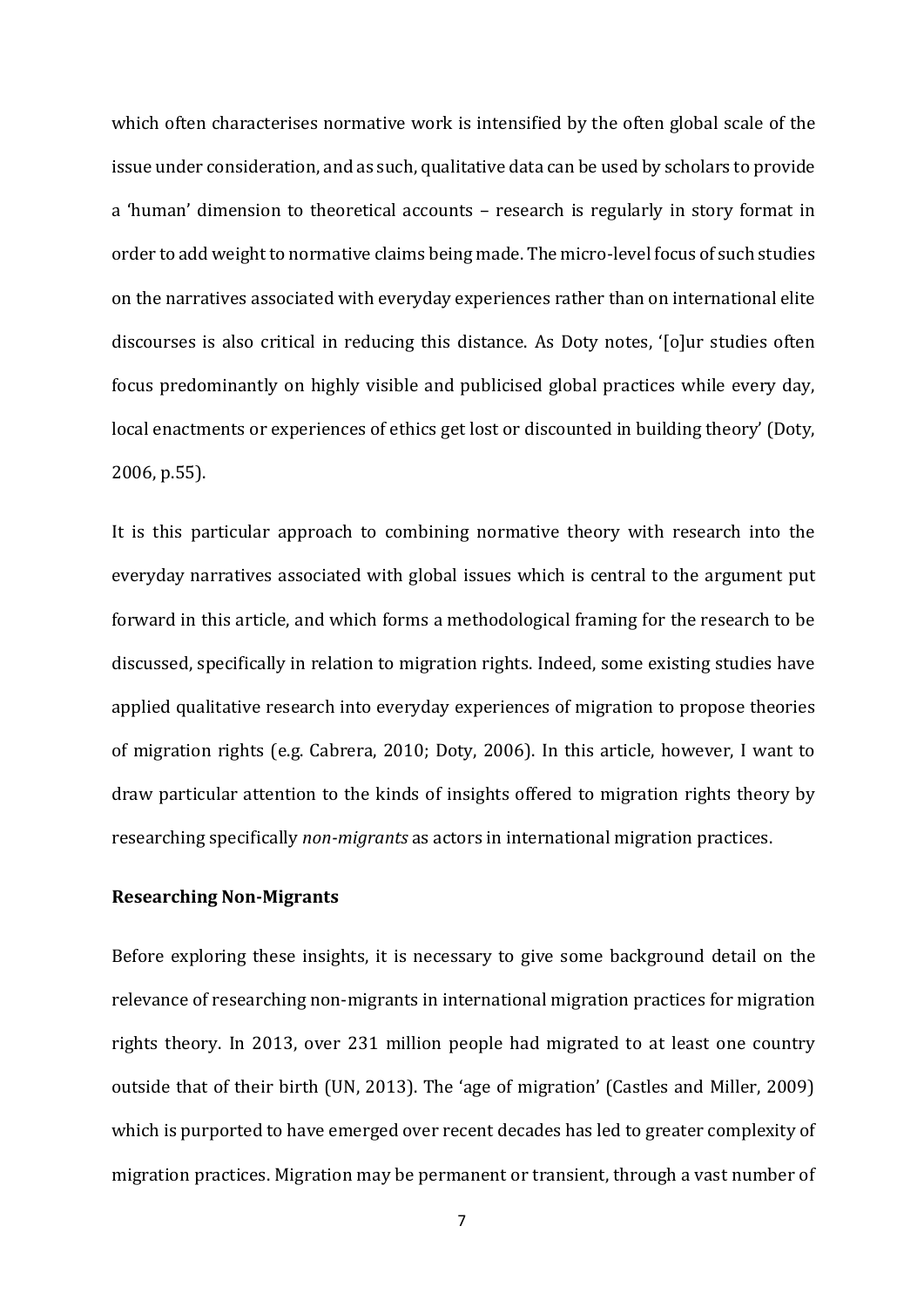which often characterises normative work is intensified by the often global scale of the issue under consideration, and as such, qualitative data can be used by scholars to provide a 'human' dimension to theoretical accounts – research is regularly in story format in order to add weight to normative claims being made. The micro-level focus of such studies on the narratives associated with everyday experiences rather than on international elite discourses is also critical in reducing this distance. As Doty notes, '[o]ur studies often focus predominantly on highly visible and publicised global practices while every day, local enactments or experiences of ethics get lost or discounted in building theory' (Doty, 2006, p.55).

It is this particular approach to combining normative theory with research into the everyday narratives associated with global issues which is central to the argument put forward in this article, and which forms a methodological framing for the research to be discussed, specifically in relation to migration rights. Indeed, some existing studies have applied qualitative research into everyday experiences of migration to propose theories of migration rights (e.g. Cabrera, 2010; Doty, 2006). In this article, however, I want to draw particular attention to the kinds of insights offered to migration rights theory by researching specifically *non-migrants* as actors in international migration practices.

## **Researching Non-Migrants**

Before exploring these insights, it is necessary to give some background detail on the relevance of researching non-migrants in international migration practices for migration rights theory. In 2013, over 231 million people had migrated to at least one country outside that of their birth (UN, 2013). The 'age of migration' (Castles and Miller, 2009) which is purported to have emerged over recent decades has led to greater complexity of migration practices. Migration may be permanent or transient, through a vast number of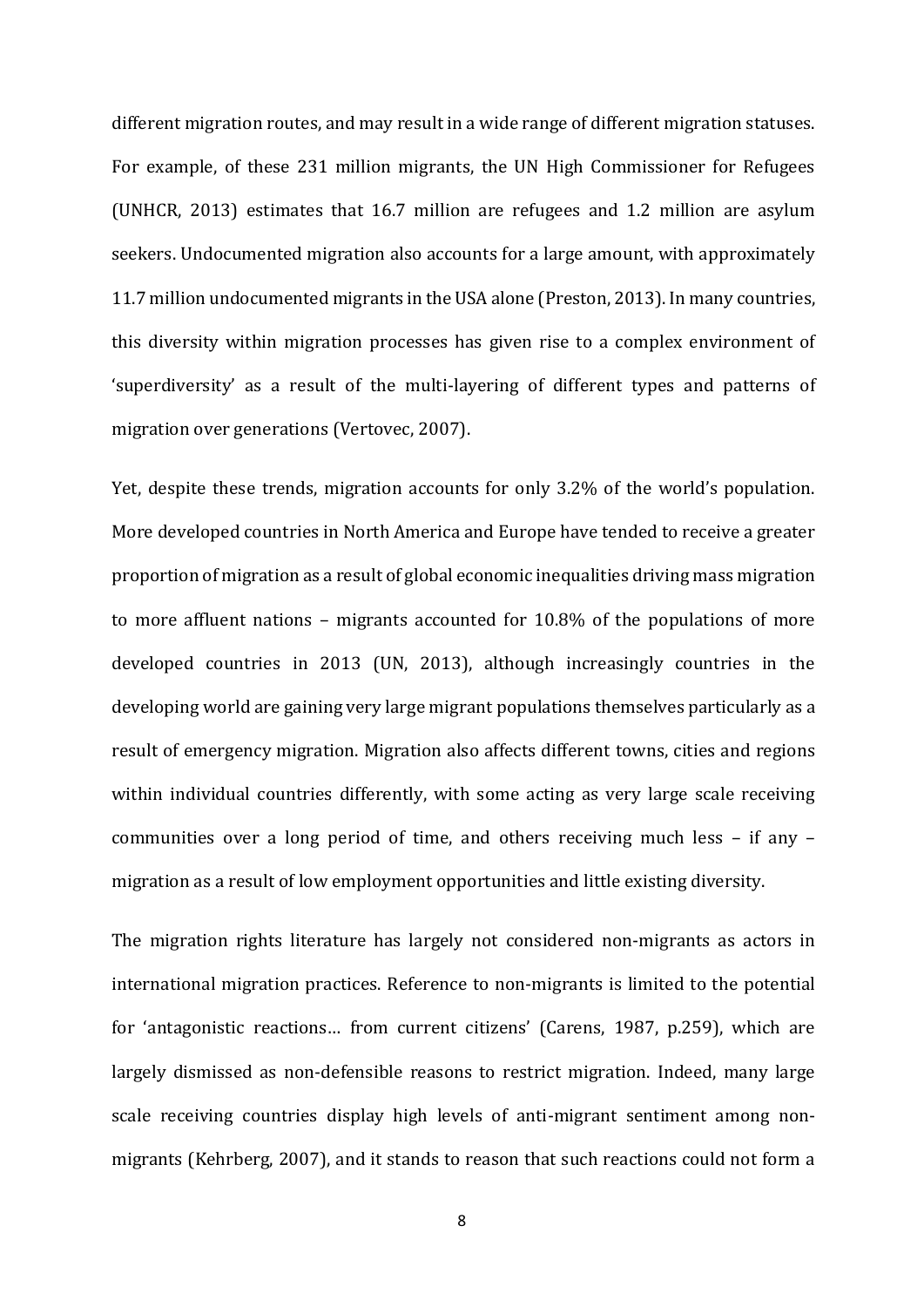different migration routes, and may result in a wide range of different migration statuses. For example, of these 231 million migrants, the UN High Commissioner for Refugees (UNHCR, 2013) estimates that 16.7 million are refugees and 1.2 million are asylum seekers. Undocumented migration also accounts for a large amount, with approximately 11.7 million undocumented migrants in the USA alone (Preston, 2013). In many countries, this diversity within migration processes has given rise to a complex environment of 'superdiversity' as a result of the multi-layering of different types and patterns of migration over generations (Vertovec, 2007).

Yet, despite these trends, migration accounts for only 3.2% of the world's population. More developed countries in North America and Europe have tended to receive a greater proportion of migration as a result of global economic inequalities driving mass migration to more affluent nations – migrants accounted for 10.8% of the populations of more developed countries in 2013 (UN, 2013), although increasingly countries in the developing world are gaining very large migrant populations themselves particularly as a result of emergency migration. Migration also affects different towns, cities and regions within individual countries differently, with some acting as very large scale receiving communities over a long period of time, and others receiving much less – if any – migration as a result of low employment opportunities and little existing diversity.

The migration rights literature has largely not considered non-migrants as actors in international migration practices. Reference to non-migrants is limited to the potential for 'antagonistic reactions… from current citizens' (Carens, 1987, p.259), which are largely dismissed as non-defensible reasons to restrict migration. Indeed, many large scale receiving countries display high levels of anti-migrant sentiment among nonmigrants (Kehrberg, 2007), and it stands to reason that such reactions could not form a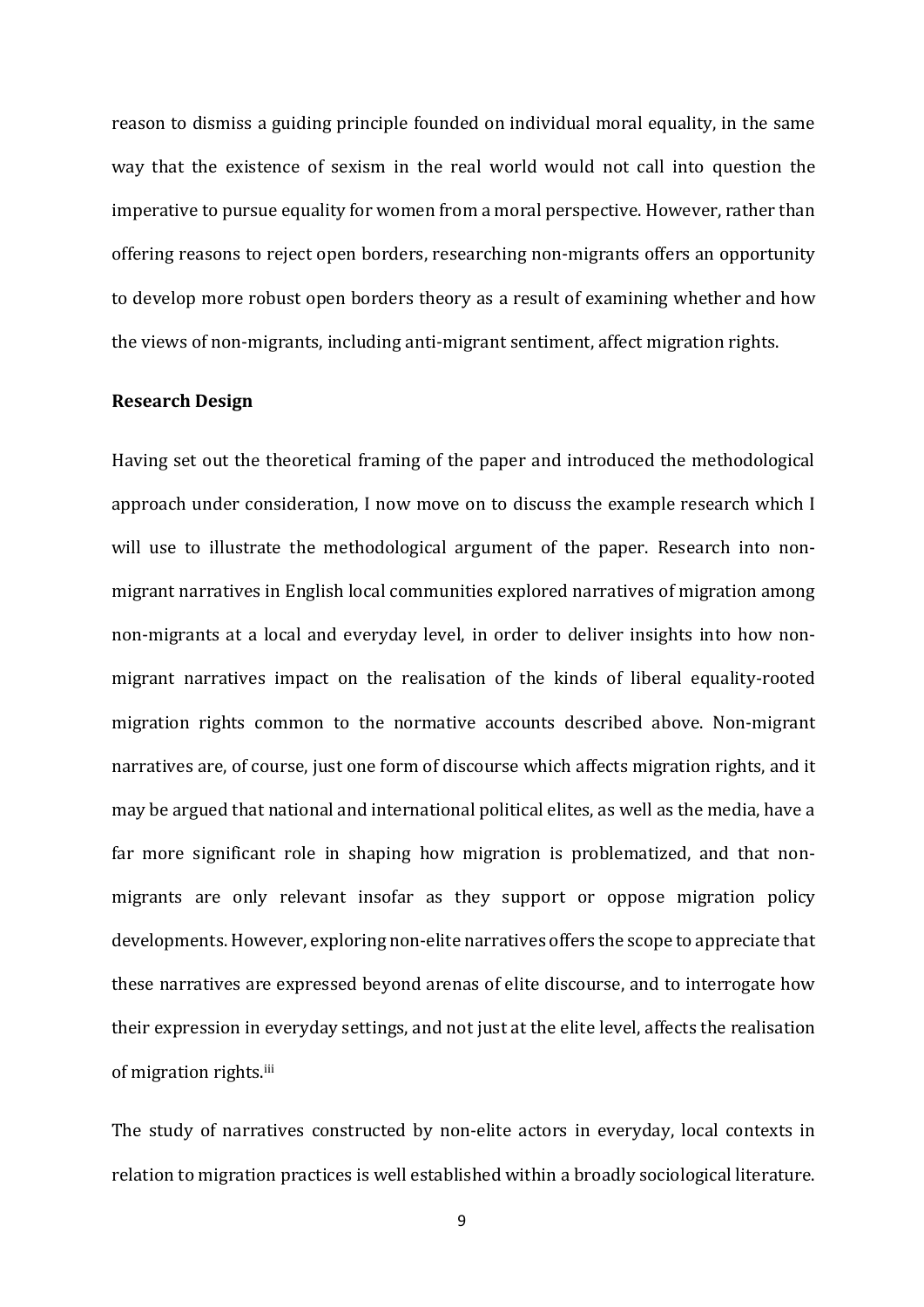reason to dismiss a guiding principle founded on individual moral equality, in the same way that the existence of sexism in the real world would not call into question the imperative to pursue equality for women from a moral perspective. However, rather than offering reasons to reject open borders, researching non-migrants offers an opportunity to develop more robust open borders theory as a result of examining whether and how the views of non-migrants, including anti-migrant sentiment, affect migration rights.

#### **Research Design**

Having set out the theoretical framing of the paper and introduced the methodological approach under consideration, I now move on to discuss the example research which I will use to illustrate the methodological argument of the paper. Research into nonmigrant narratives in English local communities explored narratives of migration among non-migrants at a local and everyday level, in order to deliver insights into how nonmigrant narratives impact on the realisation of the kinds of liberal equality-rooted migration rights common to the normative accounts described above. Non-migrant narratives are, of course, just one form of discourse which affects migration rights, and it may be argued that national and international political elites, as well as the media, have a far more significant role in shaping how migration is problematized, and that nonmigrants are only relevant insofar as they support or oppose migration policy developments. However, exploring non-elite narratives offers the scope to appreciate that these narratives are expressed beyond arenas of elite discourse, and to interrogate how their expression in everyday settings, and not just at the elite level, affects the realisation of migration rights.iii

The study of narratives constructed by non-elite actors in everyday, local contexts in relation to migration practices is well established within a broadly sociological literature.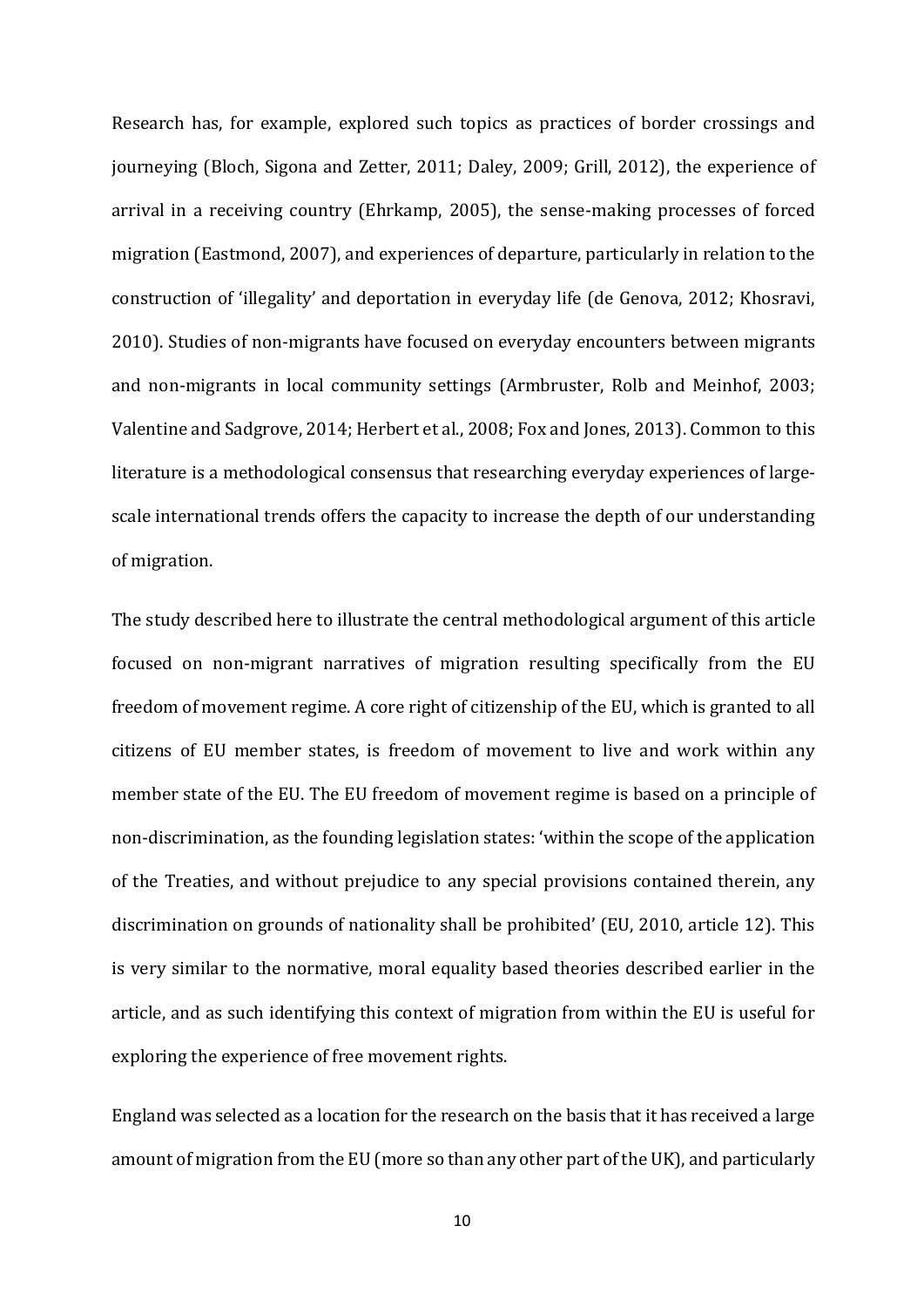Research has, for example, explored such topics as practices of border crossings and journeying (Bloch, Sigona and Zetter, 2011; Daley, 2009; Grill, 2012), the experience of arrival in a receiving country (Ehrkamp, 2005), the sense-making processes of forced migration (Eastmond, 2007), and experiences of departure, particularly in relation to the construction of 'illegality' and deportation in everyday life (de Genova, 2012; Khosravi, 2010). Studies of non-migrants have focused on everyday encounters between migrants and non-migrants in local community settings (Armbruster, Rolb and Meinhof, 2003; Valentine and Sadgrove, 2014; Herbert et al., 2008; Fox and Jones, 2013). Common to this literature is a methodological consensus that researching everyday experiences of largescale international trends offers the capacity to increase the depth of our understanding of migration.

The study described here to illustrate the central methodological argument of this article focused on non-migrant narratives of migration resulting specifically from the EU freedom of movement regime. A core right of citizenship of the EU, which is granted to all citizens of EU member states, is freedom of movement to live and work within any member state of the EU. The EU freedom of movement regime is based on a principle of non-discrimination, as the founding legislation states: 'within the scope of the application of the Treaties, and without prejudice to any special provisions contained therein, any discrimination on grounds of nationality shall be prohibited' (EU, 2010, article 12). This is very similar to the normative, moral equality based theories described earlier in the article, and as such identifying this context of migration from within the EU is useful for exploring the experience of free movement rights.

England was selected as a location for the research on the basis that it has received a large amount of migration from the EU (more so than any other part of the UK), and particularly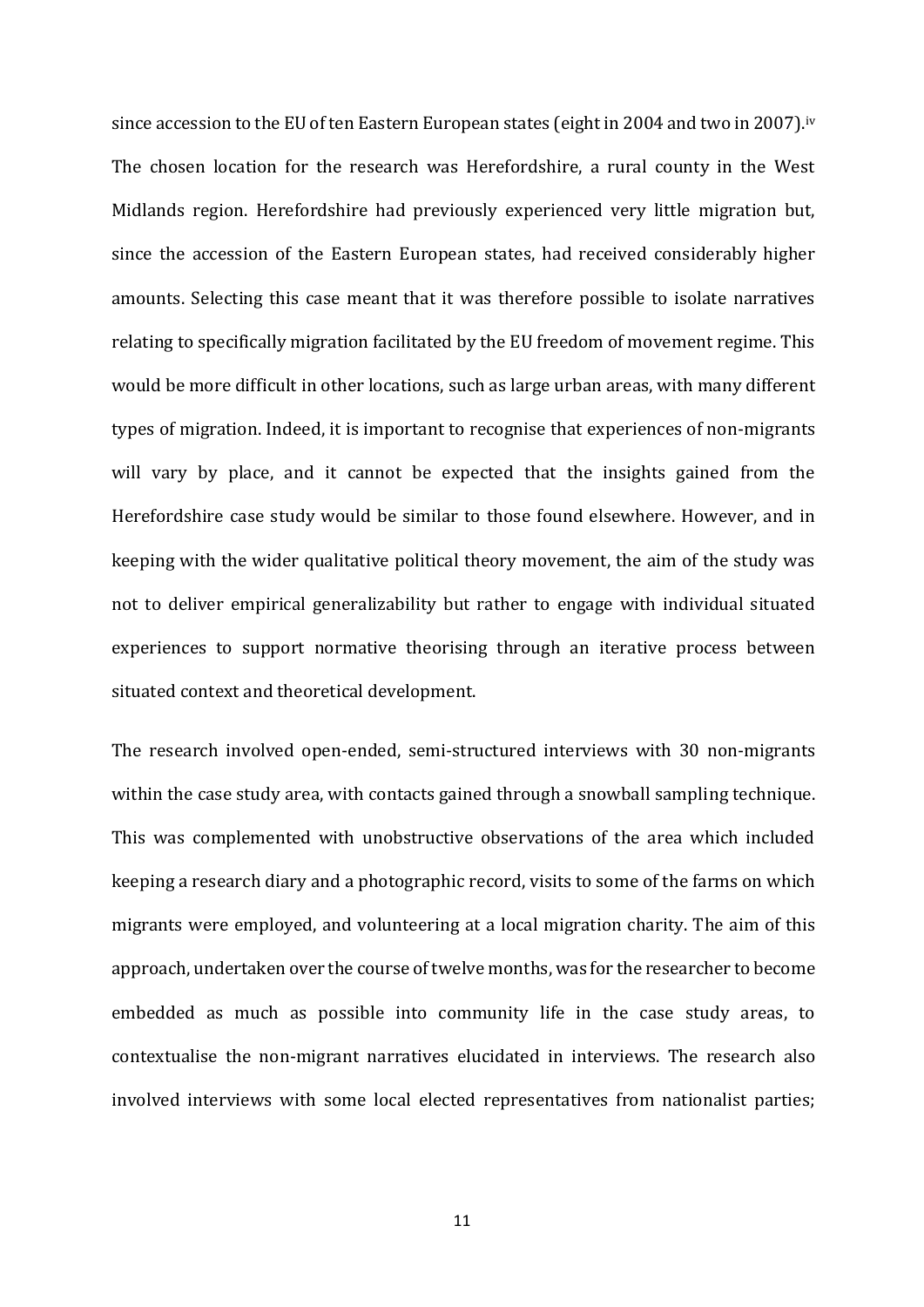since accession to the EU of ten Eastern European states (eight in 2004 and two in 2007).<sup>iv</sup> The chosen location for the research was Herefordshire, a rural county in the West Midlands region. Herefordshire had previously experienced very little migration but, since the accession of the Eastern European states, had received considerably higher amounts. Selecting this case meant that it was therefore possible to isolate narratives relating to specifically migration facilitated by the EU freedom of movement regime. This would be more difficult in other locations, such as large urban areas, with many different types of migration. Indeed, it is important to recognise that experiences of non-migrants will vary by place, and it cannot be expected that the insights gained from the Herefordshire case study would be similar to those found elsewhere. However, and in keeping with the wider qualitative political theory movement, the aim of the study was not to deliver empirical generalizability but rather to engage with individual situated experiences to support normative theorising through an iterative process between situated context and theoretical development.

The research involved open-ended, semi-structured interviews with 30 non-migrants within the case study area, with contacts gained through a snowball sampling technique. This was complemented with unobstructive observations of the area which included keeping a research diary and a photographic record, visits to some of the farms on which migrants were employed, and volunteering at a local migration charity. The aim of this approach, undertaken over the course of twelve months, was for the researcher to become embedded as much as possible into community life in the case study areas, to contextualise the non-migrant narratives elucidated in interviews. The research also involved interviews with some local elected representatives from nationalist parties;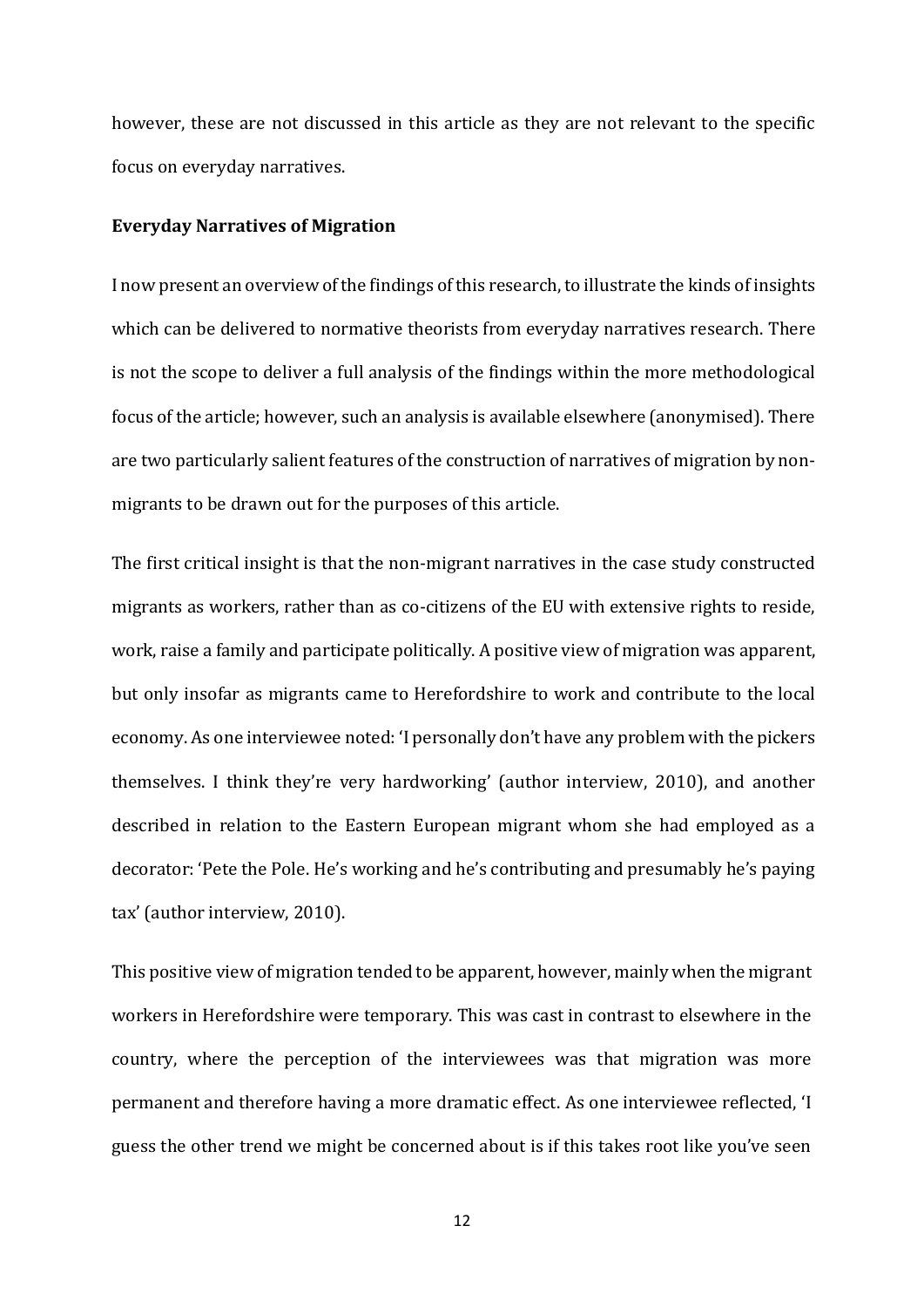however, these are not discussed in this article as they are not relevant to the specific focus on everyday narratives.

#### **Everyday Narratives of Migration**

I now present an overview of the findings of this research, to illustrate the kinds of insights which can be delivered to normative theorists from everyday narratives research. There is not the scope to deliver a full analysis of the findings within the more methodological focus of the article; however, such an analysis is available elsewhere (anonymised). There are two particularly salient features of the construction of narratives of migration by nonmigrants to be drawn out for the purposes of this article.

The first critical insight is that the non-migrant narratives in the case study constructed migrants as workers, rather than as co-citizens of the EU with extensive rights to reside, work, raise a family and participate politically. A positive view of migration was apparent, but only insofar as migrants came to Herefordshire to work and contribute to the local economy. As one interviewee noted: 'I personally don't have any problem with the pickers themselves. I think they're very hardworking' (author interview, 2010), and another described in relation to the Eastern European migrant whom she had employed as a decorator: 'Pete the Pole. He's working and he's contributing and presumably he's paying tax' (author interview, 2010).

This positive view of migration tended to be apparent, however, mainly when the migrant workers in Herefordshire were temporary. This was cast in contrast to elsewhere in the country, where the perception of the interviewees was that migration was more permanent and therefore having a more dramatic effect. As one interviewee reflected, 'I guess the other trend we might be concerned about is if this takes root like you've seen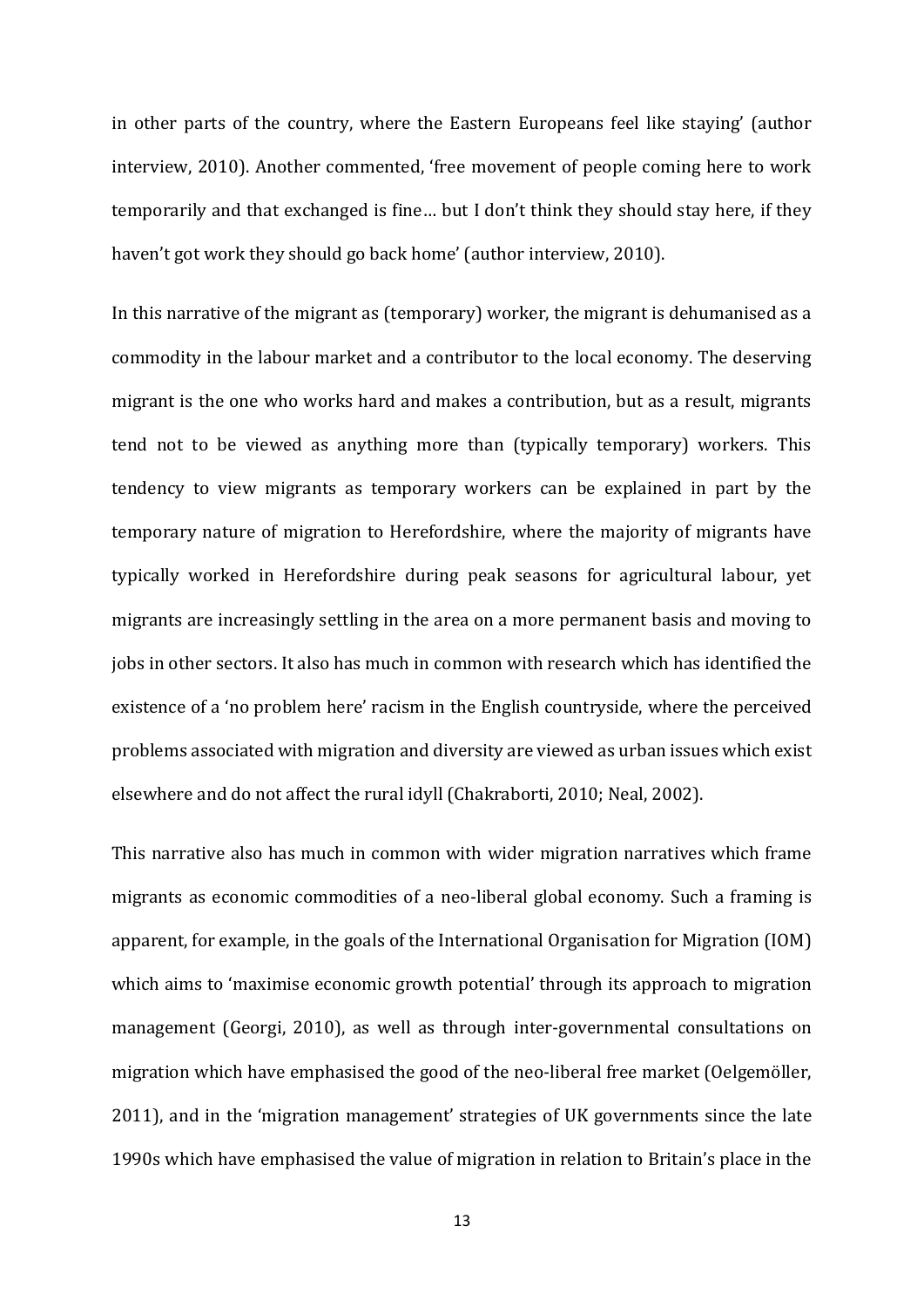in other parts of the country, where the Eastern Europeans feel like staying' (author interview, 2010). Another commented, 'free movement of people coming here to work temporarily and that exchanged is fine… but I don't think they should stay here, if they haven't got work they should go back home' (author interview, 2010).

In this narrative of the migrant as (temporary) worker, the migrant is dehumanised as a commodity in the labour market and a contributor to the local economy. The deserving migrant is the one who works hard and makes a contribution, but as a result, migrants tend not to be viewed as anything more than (typically temporary) workers. This tendency to view migrants as temporary workers can be explained in part by the temporary nature of migration to Herefordshire, where the majority of migrants have typically worked in Herefordshire during peak seasons for agricultural labour, yet migrants are increasingly settling in the area on a more permanent basis and moving to jobs in other sectors. It also has much in common with research which has identified the existence of a 'no problem here' racism in the English countryside, where the perceived problems associated with migration and diversity are viewed as urban issues which exist elsewhere and do not affect the rural idyll (Chakraborti, 2010; Neal, 2002).

This narrative also has much in common with wider migration narratives which frame migrants as economic commodities of a neo-liberal global economy. Such a framing is apparent, for example, in the goals of the International Organisation for Migration (IOM) which aims to 'maximise economic growth potential' through its approach to migration management (Georgi, 2010), as well as through inter-governmental consultations on migration which have emphasised the good of the neo-liberal free market (Oelgemöller, 2011), and in the 'migration management' strategies of UK governments since the late 1990s which have emphasised the value of migration in relation to Britain's place in the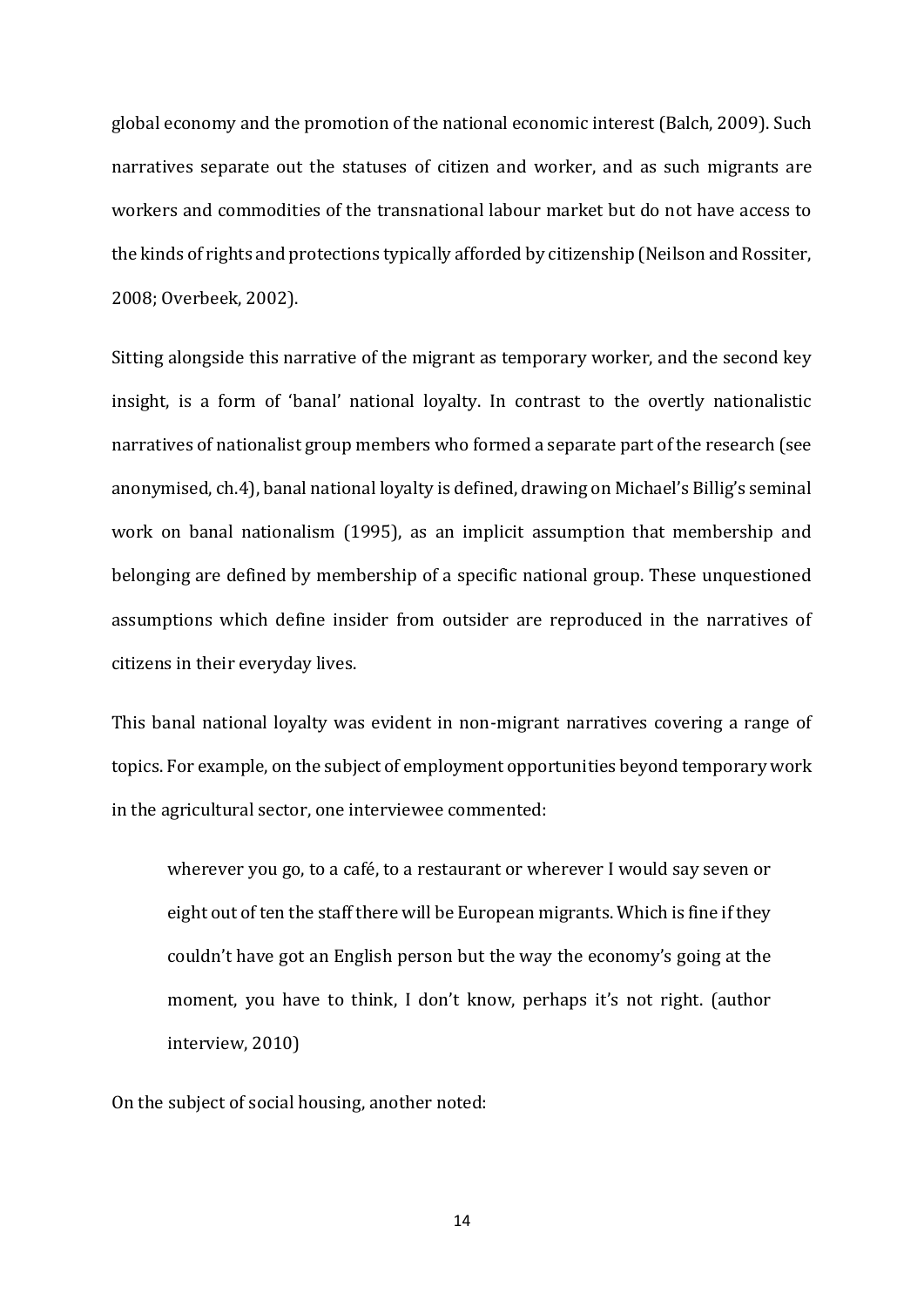global economy and the promotion of the national economic interest (Balch, 2009). Such narratives separate out the statuses of citizen and worker, and as such migrants are workers and commodities of the transnational labour market but do not have access to the kinds of rights and protections typically afforded by citizenship (Neilson and Rossiter, 2008; Overbeek, 2002).

Sitting alongside this narrative of the migrant as temporary worker, and the second key insight, is a form of 'banal' national loyalty. In contrast to the overtly nationalistic narratives of nationalist group members who formed a separate part of the research (see anonymised, ch.4), banal national loyalty is defined, drawing on Michael's Billig's seminal work on banal nationalism (1995), as an implicit assumption that membership and belonging are defined by membership of a specific national group. These unquestioned assumptions which define insider from outsider are reproduced in the narratives of citizens in their everyday lives.

This banal national loyalty was evident in non-migrant narratives covering a range of topics. For example, on the subject of employment opportunities beyond temporary work in the agricultural sector, one interviewee commented:

wherever you go, to a café, to a restaurant or wherever I would say seven or eight out of ten the staff there will be European migrants. Which is fine if they couldn't have got an English person but the way the economy's going at the moment, you have to think, I don't know, perhaps it's not right. (author interview, 2010)

On the subject of social housing, another noted: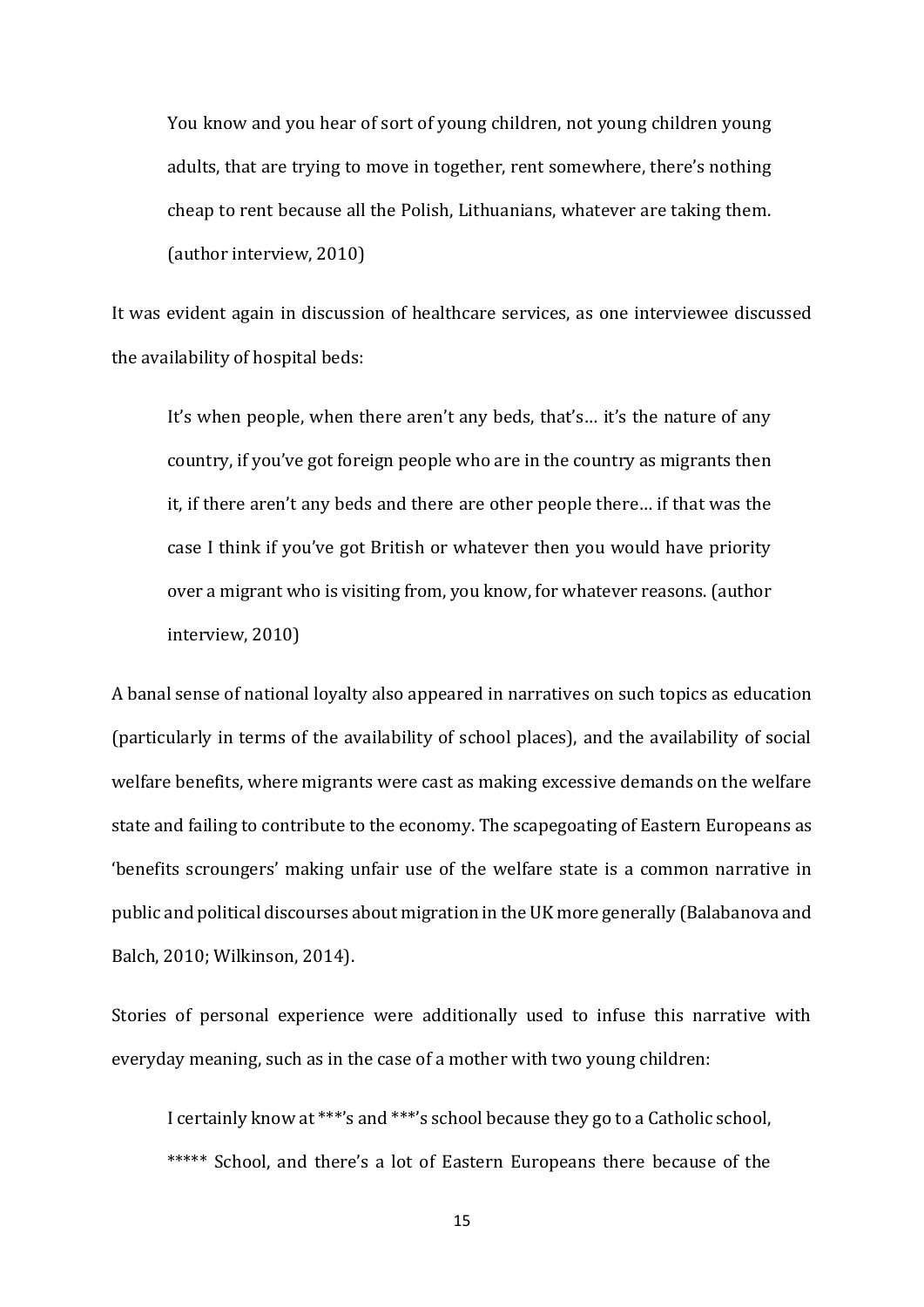You know and you hear of sort of young children, not young children young adults, that are trying to move in together, rent somewhere, there's nothing cheap to rent because all the Polish, Lithuanians, whatever are taking them. (author interview, 2010)

It was evident again in discussion of healthcare services, as one interviewee discussed the availability of hospital beds:

It's when people, when there aren't any beds, that's… it's the nature of any country, if you've got foreign people who are in the country as migrants then it, if there aren't any beds and there are other people there… if that was the case I think if you've got British or whatever then you would have priority over a migrant who is visiting from, you know, for whatever reasons. (author interview, 2010)

A banal sense of national loyalty also appeared in narratives on such topics as education (particularly in terms of the availability of school places), and the availability of social welfare benefits, where migrants were cast as making excessive demands on the welfare state and failing to contribute to the economy. The scapegoating of Eastern Europeans as 'benefits scroungers' making unfair use of the welfare state is a common narrative in public and political discourses about migration in the UK more generally (Balabanova and Balch, 2010; Wilkinson, 2014).

Stories of personal experience were additionally used to infuse this narrative with everyday meaning, such as in the case of a mother with two young children:

I certainly know at \*\*\*'s and \*\*\*'s school because they go to a Catholic school, \*\*\*\*\* School, and there's a lot of Eastern Europeans there because of the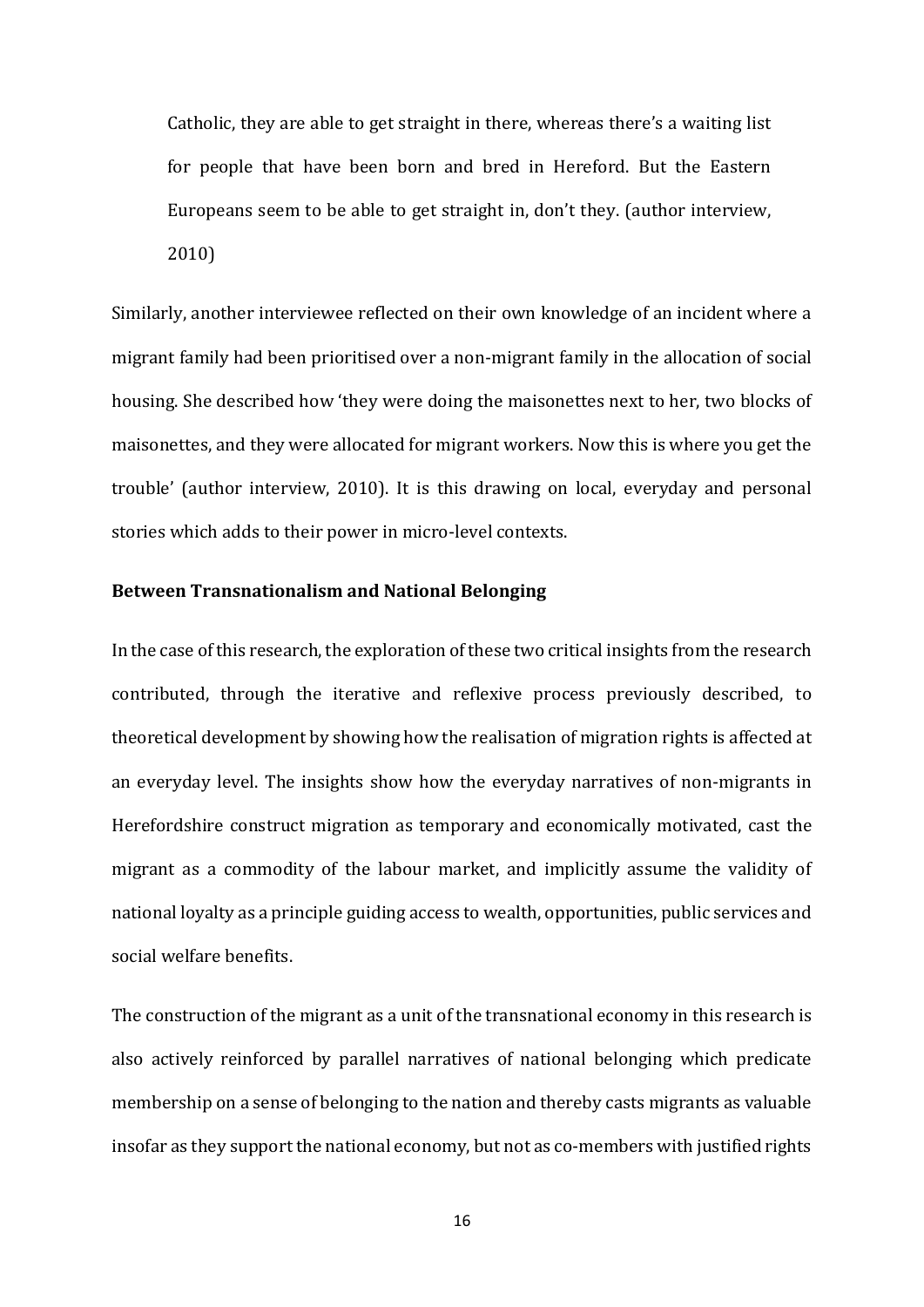Catholic, they are able to get straight in there, whereas there's a waiting list for people that have been born and bred in Hereford. But the Eastern Europeans seem to be able to get straight in, don't they. (author interview, 2010)

Similarly, another interviewee reflected on their own knowledge of an incident where a migrant family had been prioritised over a non-migrant family in the allocation of social housing. She described how 'they were doing the maisonettes next to her, two blocks of maisonettes, and they were allocated for migrant workers. Now this is where you get the trouble' (author interview, 2010). It is this drawing on local, everyday and personal stories which adds to their power in micro-level contexts.

# **Between Transnationalism and National Belonging**

In the case of this research, the exploration of these two critical insights from the research contributed, through the iterative and reflexive process previously described, to theoretical development by showing how the realisation of migration rights is affected at an everyday level. The insights show how the everyday narratives of non-migrants in Herefordshire construct migration as temporary and economically motivated, cast the migrant as a commodity of the labour market, and implicitly assume the validity of national loyalty as a principle guiding access to wealth, opportunities, public services and social welfare benefits.

The construction of the migrant as a unit of the transnational economy in this research is also actively reinforced by parallel narratives of national belonging which predicate membership on a sense of belonging to the nation and thereby casts migrants as valuable insofar as they support the national economy, but not as co-members with justified rights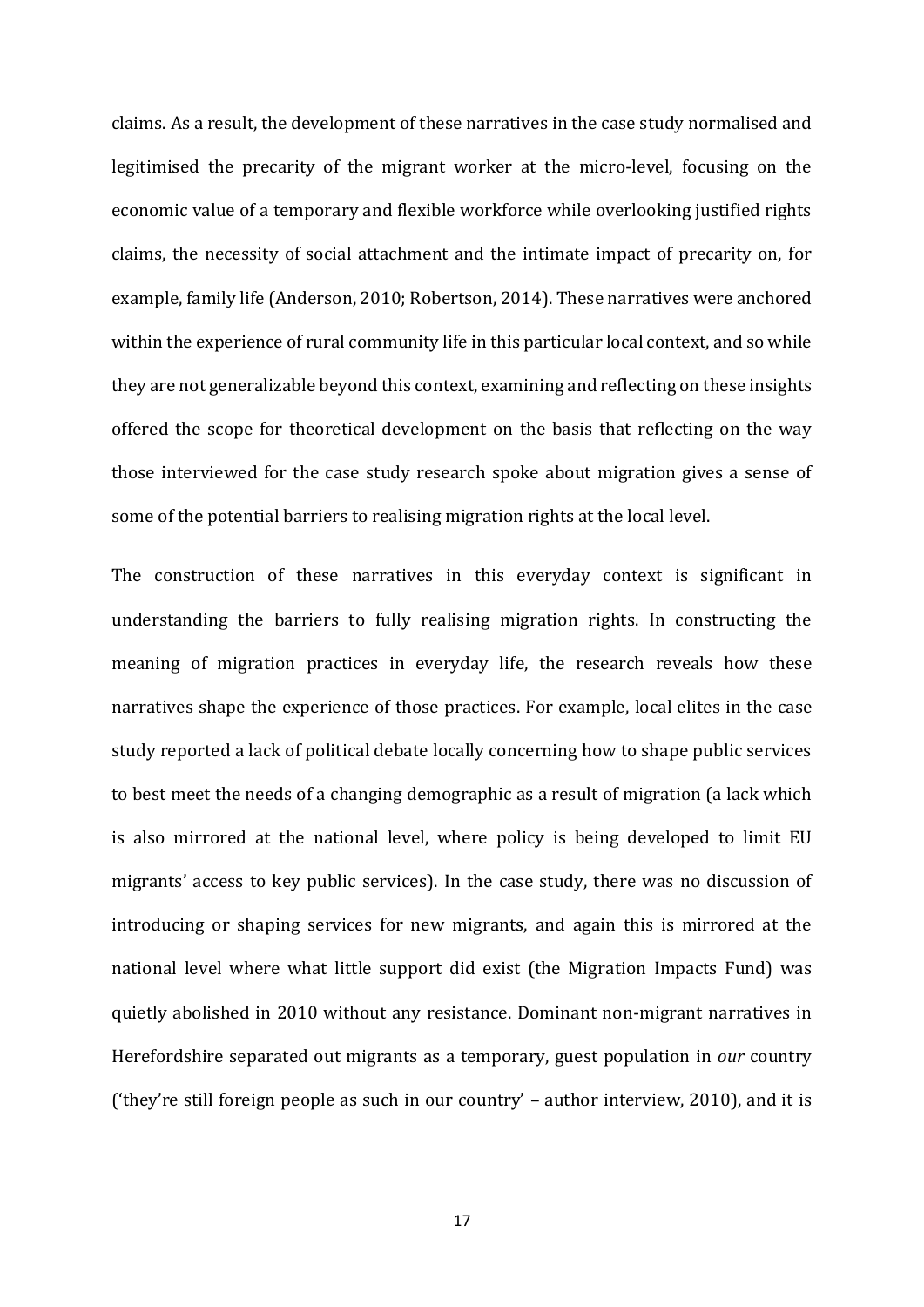claims. As a result, the development of these narratives in the case study normalised and legitimised the precarity of the migrant worker at the micro-level, focusing on the economic value of a temporary and flexible workforce while overlooking justified rights claims, the necessity of social attachment and the intimate impact of precarity on, for example, family life (Anderson, 2010; Robertson, 2014). These narratives were anchored within the experience of rural community life in this particular local context, and so while they are not generalizable beyond this context, examining and reflecting on these insights offered the scope for theoretical development on the basis that reflecting on the way those interviewed for the case study research spoke about migration gives a sense of some of the potential barriers to realising migration rights at the local level.

The construction of these narratives in this everyday context is significant in understanding the barriers to fully realising migration rights. In constructing the meaning of migration practices in everyday life, the research reveals how these narratives shape the experience of those practices. For example, local elites in the case study reported a lack of political debate locally concerning how to shape public services to best meet the needs of a changing demographic as a result of migration (a lack which is also mirrored at the national level, where policy is being developed to limit EU migrants' access to key public services). In the case study, there was no discussion of introducing or shaping services for new migrants, and again this is mirrored at the national level where what little support did exist (the Migration Impacts Fund) was quietly abolished in 2010 without any resistance. Dominant non-migrant narratives in Herefordshire separated out migrants as a temporary, guest population in *our* country ('they're still foreign people as such in our country' – author interview, 2010), and it is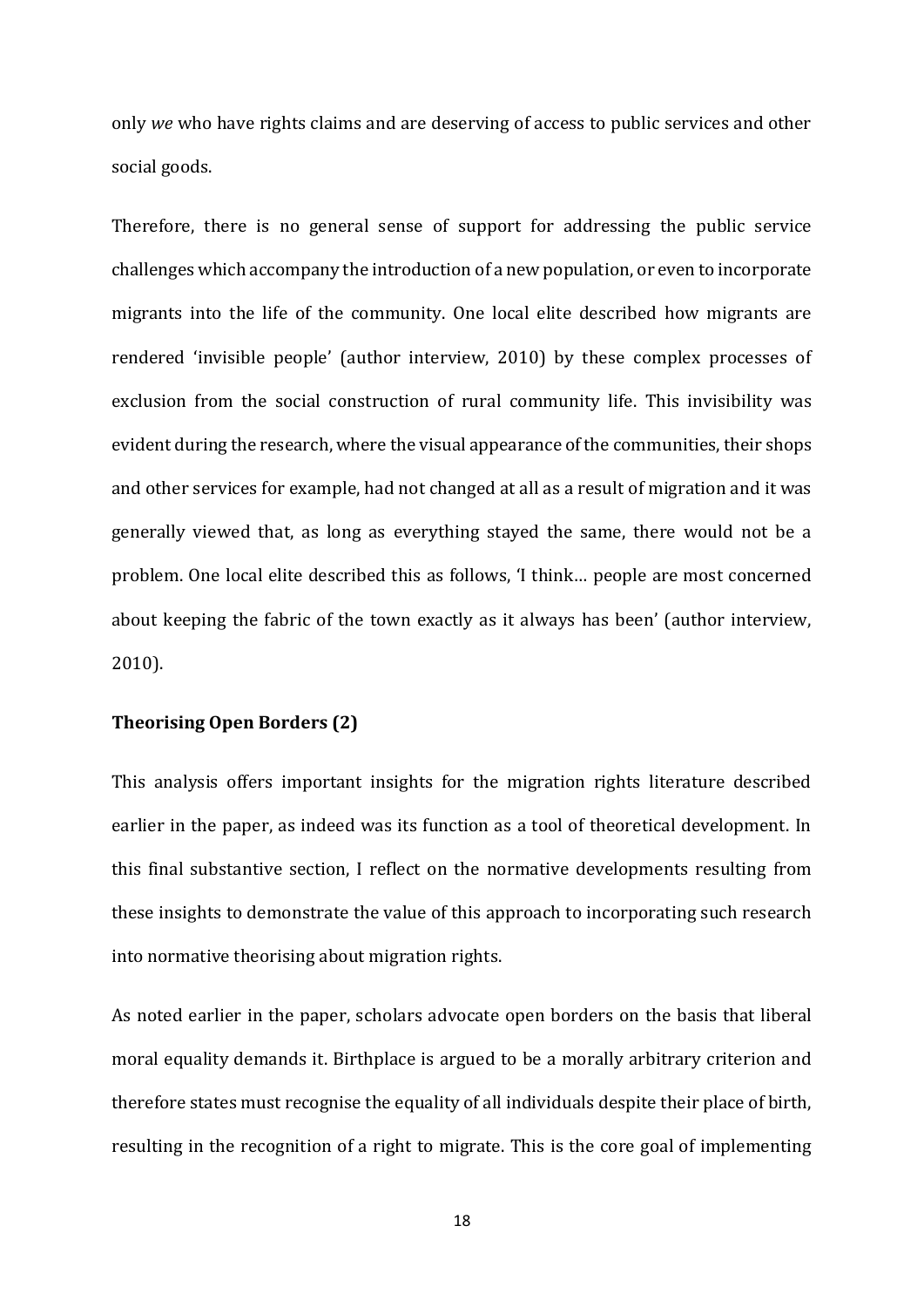only *we* who have rights claims and are deserving of access to public services and other social goods.

Therefore, there is no general sense of support for addressing the public service challenges which accompany the introduction of a new population, or even to incorporate migrants into the life of the community. One local elite described how migrants are rendered 'invisible people' (author interview, 2010) by these complex processes of exclusion from the social construction of rural community life. This invisibility was evident during the research, where the visual appearance of the communities, their shops and other services for example, had not changed at all as a result of migration and it was generally viewed that, as long as everything stayed the same, there would not be a problem. One local elite described this as follows, 'I think… people are most concerned about keeping the fabric of the town exactly as it always has been' (author interview, 2010).

## **Theorising Open Borders (2)**

This analysis offers important insights for the migration rights literature described earlier in the paper, as indeed was its function as a tool of theoretical development. In this final substantive section, I reflect on the normative developments resulting from these insights to demonstrate the value of this approach to incorporating such research into normative theorising about migration rights.

As noted earlier in the paper, scholars advocate open borders on the basis that liberal moral equality demands it. Birthplace is argued to be a morally arbitrary criterion and therefore states must recognise the equality of all individuals despite their place of birth, resulting in the recognition of a right to migrate. This is the core goal of implementing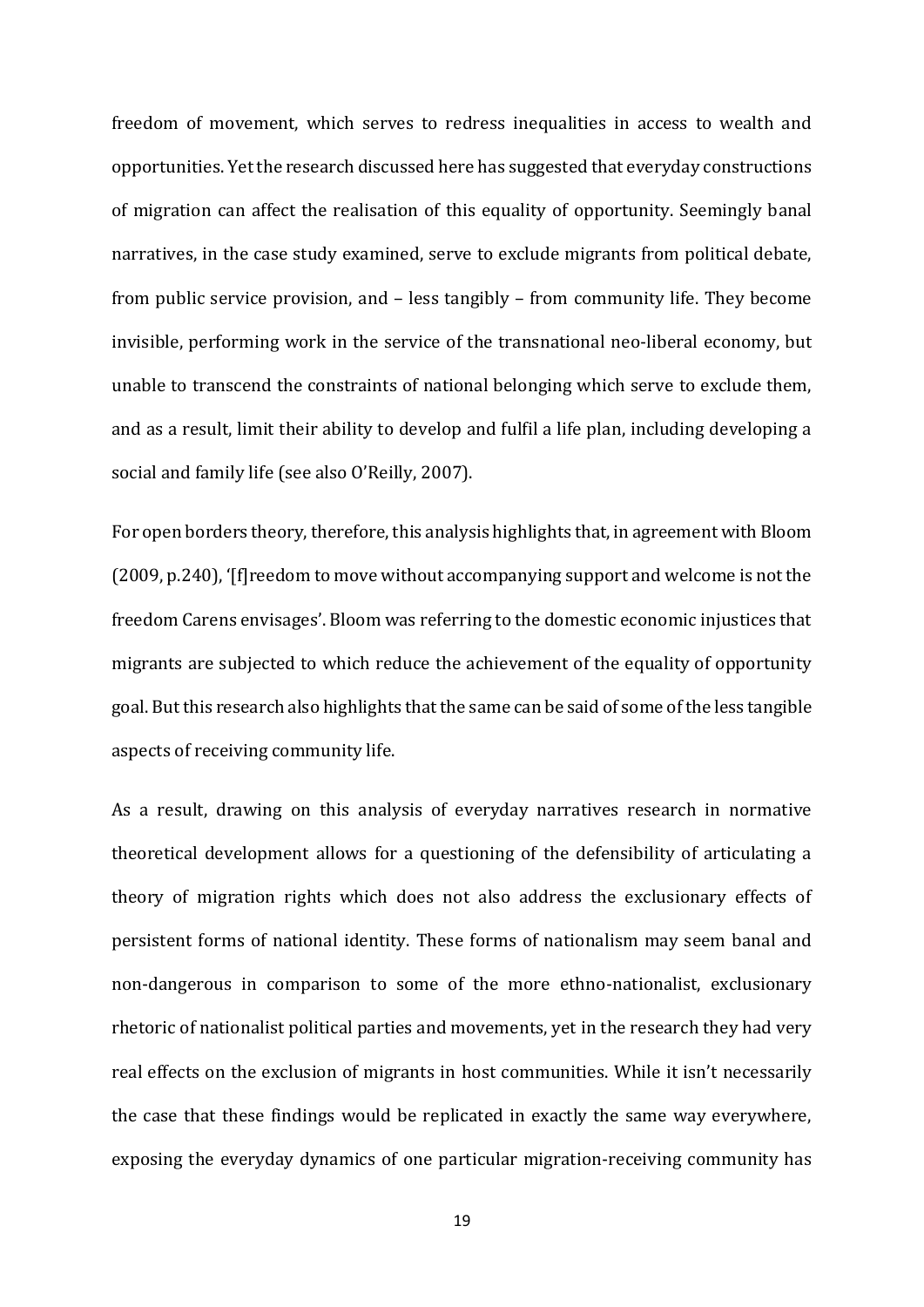freedom of movement, which serves to redress inequalities in access to wealth and opportunities. Yet the research discussed here has suggested that everyday constructions of migration can affect the realisation of this equality of opportunity. Seemingly banal narratives, in the case study examined, serve to exclude migrants from political debate, from public service provision, and – less tangibly – from community life. They become invisible, performing work in the service of the transnational neo-liberal economy, but unable to transcend the constraints of national belonging which serve to exclude them, and as a result, limit their ability to develop and fulfil a life plan, including developing a social and family life (see also O'Reilly, 2007).

For open borders theory, therefore, this analysis highlights that, in agreement with Bloom (2009, p.240), '[f]reedom to move without accompanying support and welcome is not the freedom Carens envisages'. Bloom was referring to the domestic economic injustices that migrants are subjected to which reduce the achievement of the equality of opportunity goal. But this research also highlights that the same can be said of some of the less tangible aspects of receiving community life.

As a result, drawing on this analysis of everyday narratives research in normative theoretical development allows for a questioning of the defensibility of articulating a theory of migration rights which does not also address the exclusionary effects of persistent forms of national identity. These forms of nationalism may seem banal and non-dangerous in comparison to some of the more ethno-nationalist, exclusionary rhetoric of nationalist political parties and movements, yet in the research they had very real effects on the exclusion of migrants in host communities. While it isn't necessarily the case that these findings would be replicated in exactly the same way everywhere, exposing the everyday dynamics of one particular migration-receiving community has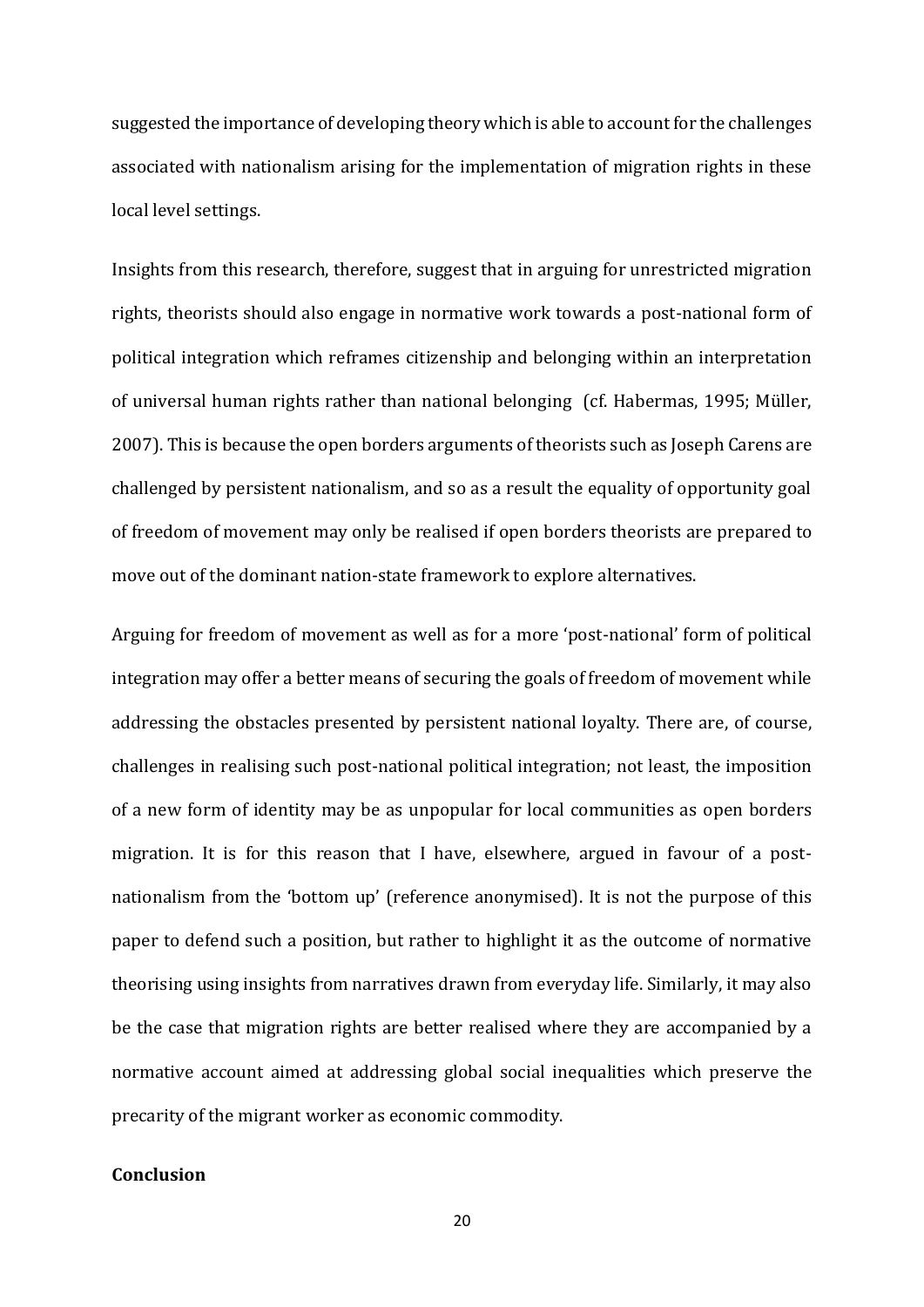suggested the importance of developing theory which is able to account for the challenges associated with nationalism arising for the implementation of migration rights in these local level settings.

Insights from this research, therefore, suggest that in arguing for unrestricted migration rights, theorists should also engage in normative work towards a post-national form of political integration which reframes citizenship and belonging within an interpretation of universal human rights rather than national belonging (cf. Habermas, 1995; Müller, 2007). This is because the open borders arguments of theorists such as Joseph Carens are challenged by persistent nationalism, and so as a result the equality of opportunity goal of freedom of movement may only be realised if open borders theorists are prepared to move out of the dominant nation-state framework to explore alternatives.

Arguing for freedom of movement as well as for a more 'post-national' form of political integration may offer a better means of securing the goals of freedom of movement while addressing the obstacles presented by persistent national loyalty. There are, of course, challenges in realising such post-national political integration; not least, the imposition of a new form of identity may be as unpopular for local communities as open borders migration. It is for this reason that I have, elsewhere, argued in favour of a postnationalism from the 'bottom up' (reference anonymised). It is not the purpose of this paper to defend such a position, but rather to highlight it as the outcome of normative theorising using insights from narratives drawn from everyday life. Similarly, it may also be the case that migration rights are better realised where they are accompanied by a normative account aimed at addressing global social inequalities which preserve the precarity of the migrant worker as economic commodity.

# **Conclusion**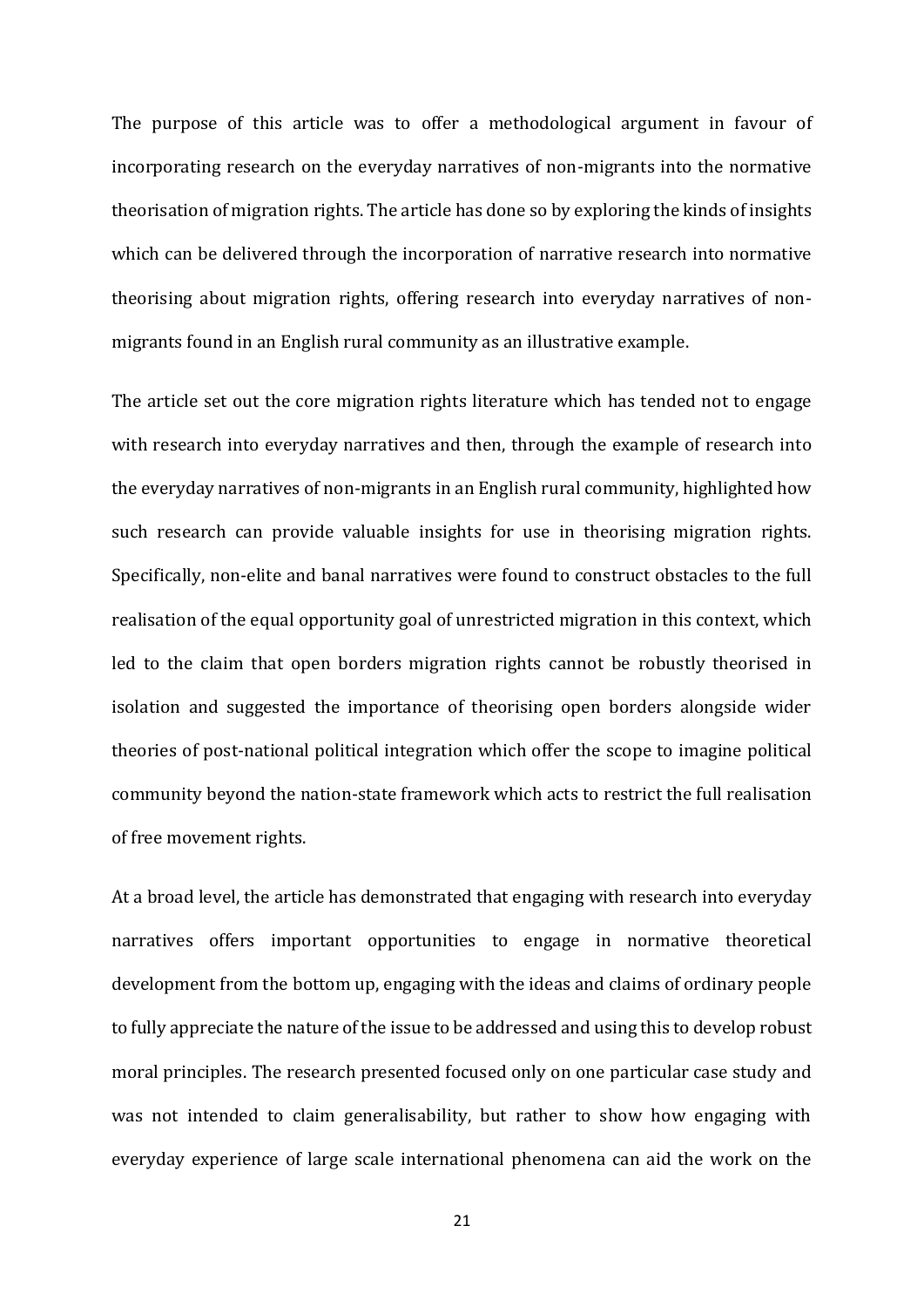The purpose of this article was to offer a methodological argument in favour of incorporating research on the everyday narratives of non-migrants into the normative theorisation of migration rights. The article has done so by exploring the kinds of insights which can be delivered through the incorporation of narrative research into normative theorising about migration rights, offering research into everyday narratives of nonmigrants found in an English rural community as an illustrative example.

The article set out the core migration rights literature which has tended not to engage with research into everyday narratives and then, through the example of research into the everyday narratives of non-migrants in an English rural community, highlighted how such research can provide valuable insights for use in theorising migration rights. Specifically, non-elite and banal narratives were found to construct obstacles to the full realisation of the equal opportunity goal of unrestricted migration in this context, which led to the claim that open borders migration rights cannot be robustly theorised in isolation and suggested the importance of theorising open borders alongside wider theories of post-national political integration which offer the scope to imagine political community beyond the nation-state framework which acts to restrict the full realisation of free movement rights.

At a broad level, the article has demonstrated that engaging with research into everyday narratives offers important opportunities to engage in normative theoretical development from the bottom up, engaging with the ideas and claims of ordinary people to fully appreciate the nature of the issue to be addressed and using this to develop robust moral principles. The research presented focused only on one particular case study and was not intended to claim generalisability, but rather to show how engaging with everyday experience of large scale international phenomena can aid the work on the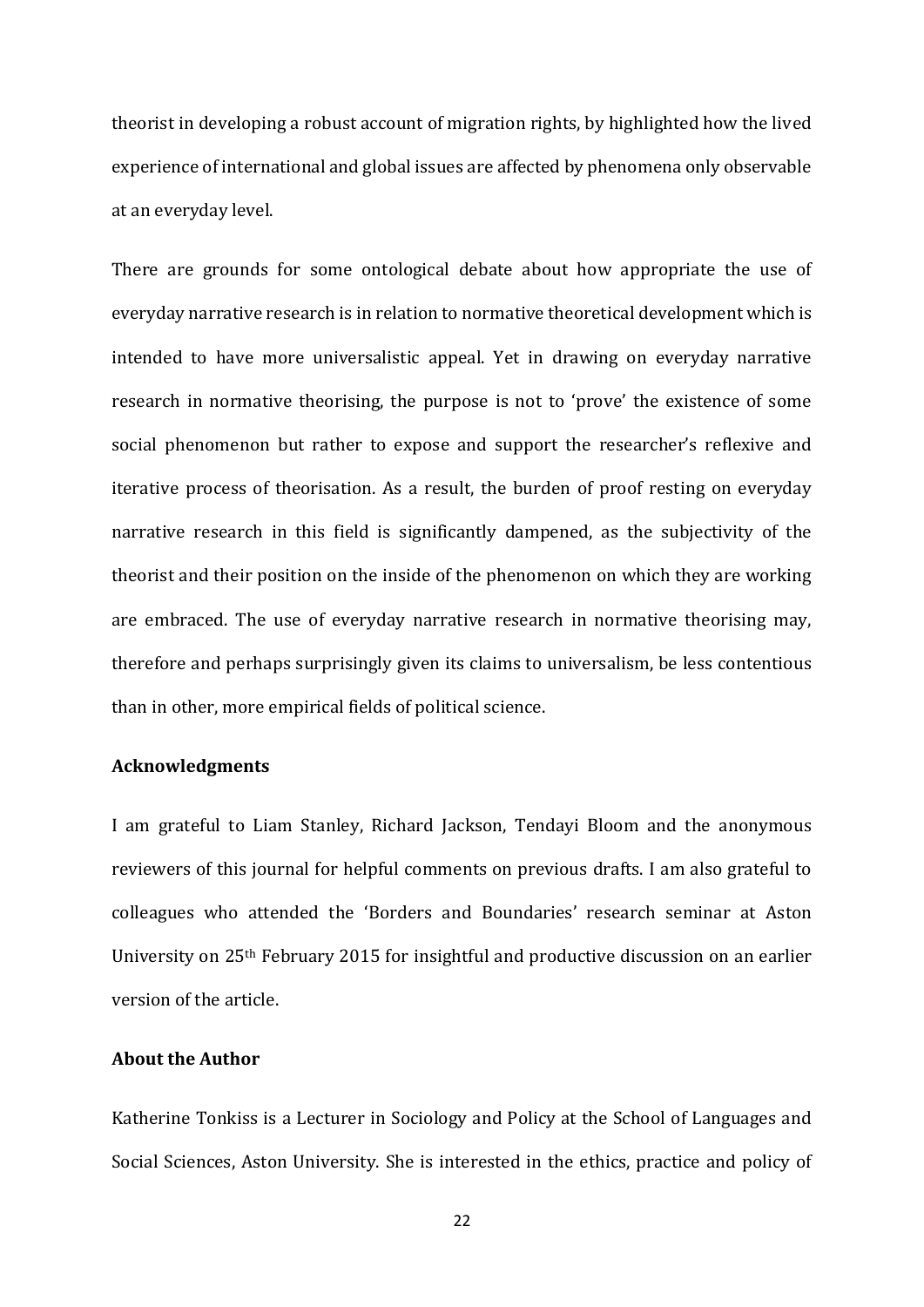theorist in developing a robust account of migration rights, by highlighted how the lived experience of international and global issues are affected by phenomena only observable at an everyday level.

There are grounds for some ontological debate about how appropriate the use of everyday narrative research is in relation to normative theoretical development which is intended to have more universalistic appeal. Yet in drawing on everyday narrative research in normative theorising, the purpose is not to 'prove' the existence of some social phenomenon but rather to expose and support the researcher's reflexive and iterative process of theorisation. As a result, the burden of proof resting on everyday narrative research in this field is significantly dampened, as the subjectivity of the theorist and their position on the inside of the phenomenon on which they are working are embraced. The use of everyday narrative research in normative theorising may, therefore and perhaps surprisingly given its claims to universalism, be less contentious than in other, more empirical fields of political science.

## **Acknowledgments**

I am grateful to Liam Stanley, Richard Jackson, Tendayi Bloom and the anonymous reviewers of this journal for helpful comments on previous drafts. I am also grateful to colleagues who attended the 'Borders and Boundaries' research seminar at Aston University on 25th February 2015 for insightful and productive discussion on an earlier version of the article.

## **About the Author**

Katherine Tonkiss is a Lecturer in Sociology and Policy at the School of Languages and Social Sciences, Aston University. She is interested in the ethics, practice and policy of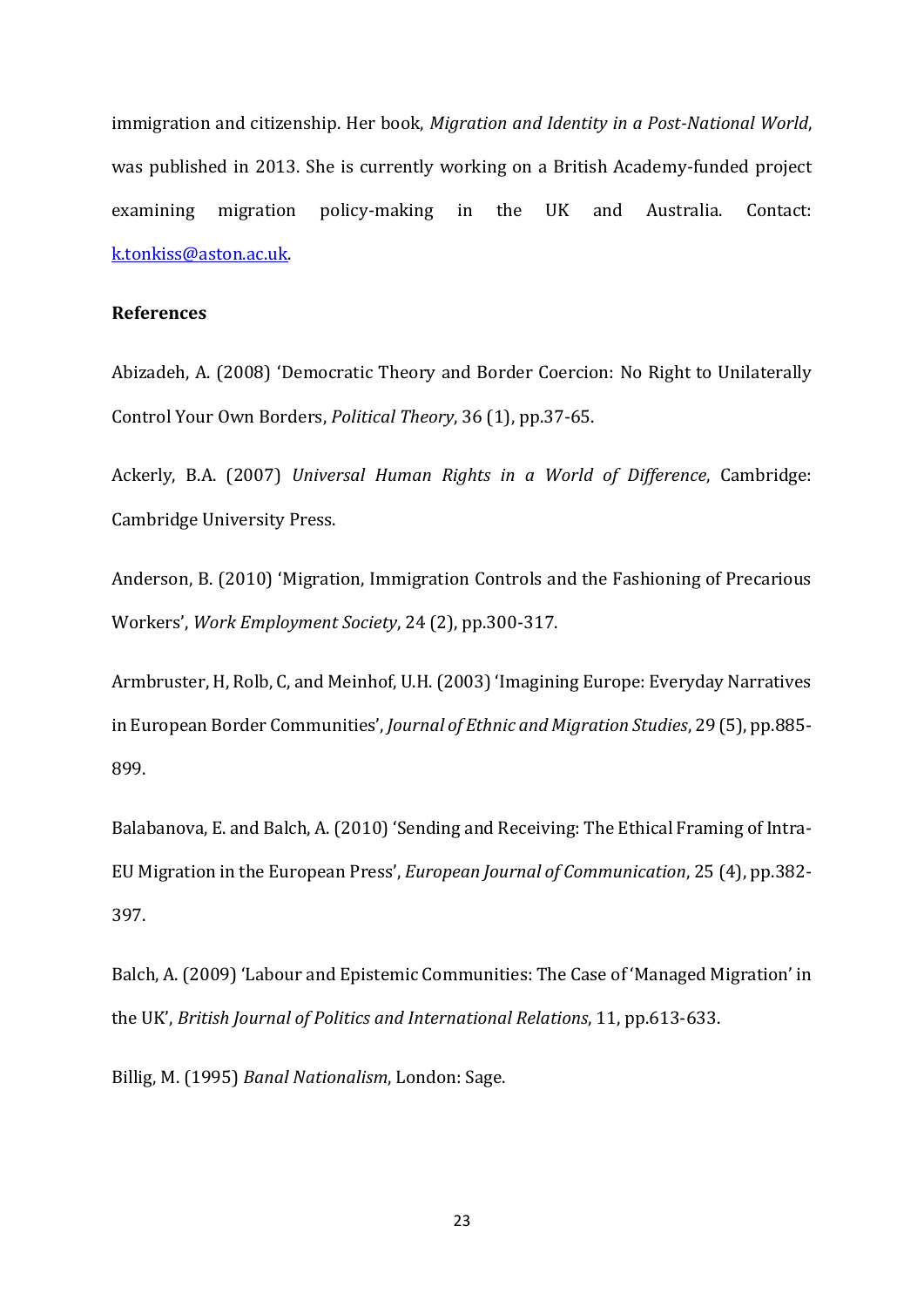immigration and citizenship. Her book, *Migration and Identity in a Post-National World*, was published in 2013. She is currently working on a British Academy-funded project examining migration policy-making in the UK and Australia. Contact: [k.tonkiss@aston.ac.uk.](mailto:k.tonkiss@aston.ac.uk)

# **References**

Abizadeh, A. (2008) 'Democratic Theory and Border Coercion: No Right to Unilaterally Control Your Own Borders, *Political Theory*, 36 (1), pp.37-65.

Ackerly, B.A. (2007) *Universal Human Rights in a World of Difference*, Cambridge: Cambridge University Press.

Anderson, B. (2010) 'Migration, Immigration Controls and the Fashioning of Precarious Workers', *Work Employment Society*, 24 (2), pp.300-317.

Armbruster, H, Rolb, C, and Meinhof, U.H. (2003) 'Imagining Europe: Everyday Narratives in European Border Communities', *Journal of Ethnic and Migration Studies*, 29 (5), pp.885- 899.

Balabanova, E. and Balch, A. (2010) 'Sending and Receiving: The Ethical Framing of Intra-EU Migration in the European Press', *European Journal of Communication*, 25 (4), pp.382- 397.

Balch, A. (2009) 'Labour and Epistemic Communities: The Case of 'Managed Migration' in the UK', *British Journal of Politics and International Relations*, 11, pp.613-633.

Billig, M. (1995) *Banal Nationalism*, London: Sage.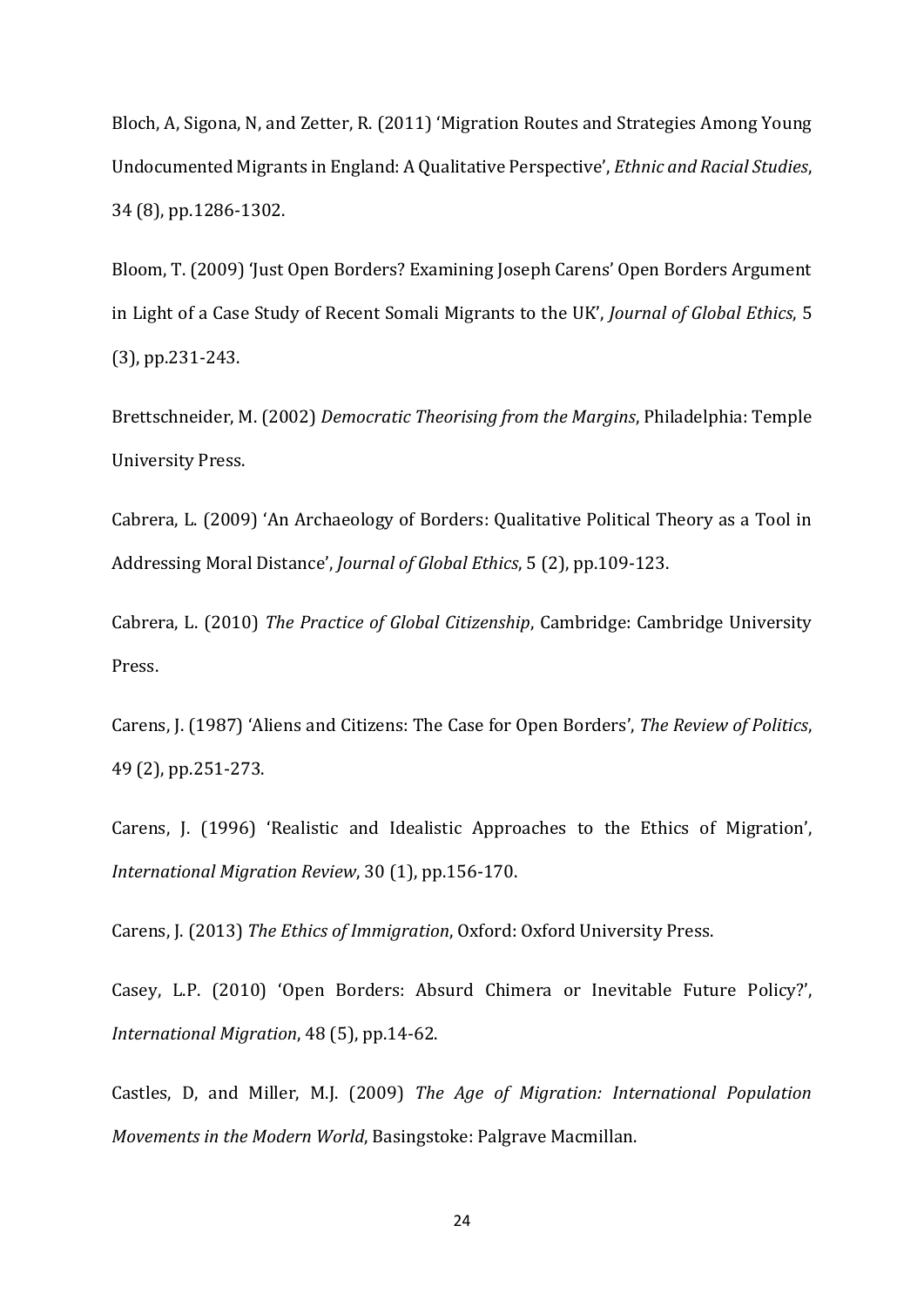Bloch, A, Sigona, N, and Zetter, R. (2011) 'Migration Routes and Strategies Among Young Undocumented Migrants in England: A Qualitative Perspective', *Ethnic and Racial Studies*, 34 (8), pp.1286-1302.

Bloom, T. (2009) 'Just Open Borders? Examining Joseph Carens' Open Borders Argument in Light of a Case Study of Recent Somali Migrants to the UK', *Journal of Global Ethics*, 5 (3), pp.231-243.

Brettschneider, M. (2002) *Democratic Theorising from the Margins*, Philadelphia: Temple University Press.

Cabrera, L. (2009) 'An Archaeology of Borders: Qualitative Political Theory as a Tool in Addressing Moral Distance', *Journal of Global Ethics*, 5 (2), pp.109-123.

Cabrera, L. (2010) *The Practice of Global Citizenship*, Cambridge: Cambridge University Press.

Carens, J. (1987) 'Aliens and Citizens: The Case for Open Borders', *The Review of Politics*, 49 (2), pp.251-273.

Carens, J. (1996) 'Realistic and Idealistic Approaches to the Ethics of Migration', *International Migration Review*, 30 (1), pp.156-170.

Carens, J. (2013) *The Ethics of Immigration*, Oxford: Oxford University Press.

Casey, L.P. (2010) 'Open Borders: Absurd Chimera or Inevitable Future Policy?', *International Migration*, 48 (5), pp.14-62.

Castles, D, and Miller, M.J. (2009) *The Age of Migration: International Population Movements in the Modern World*, Basingstoke: Palgrave Macmillan.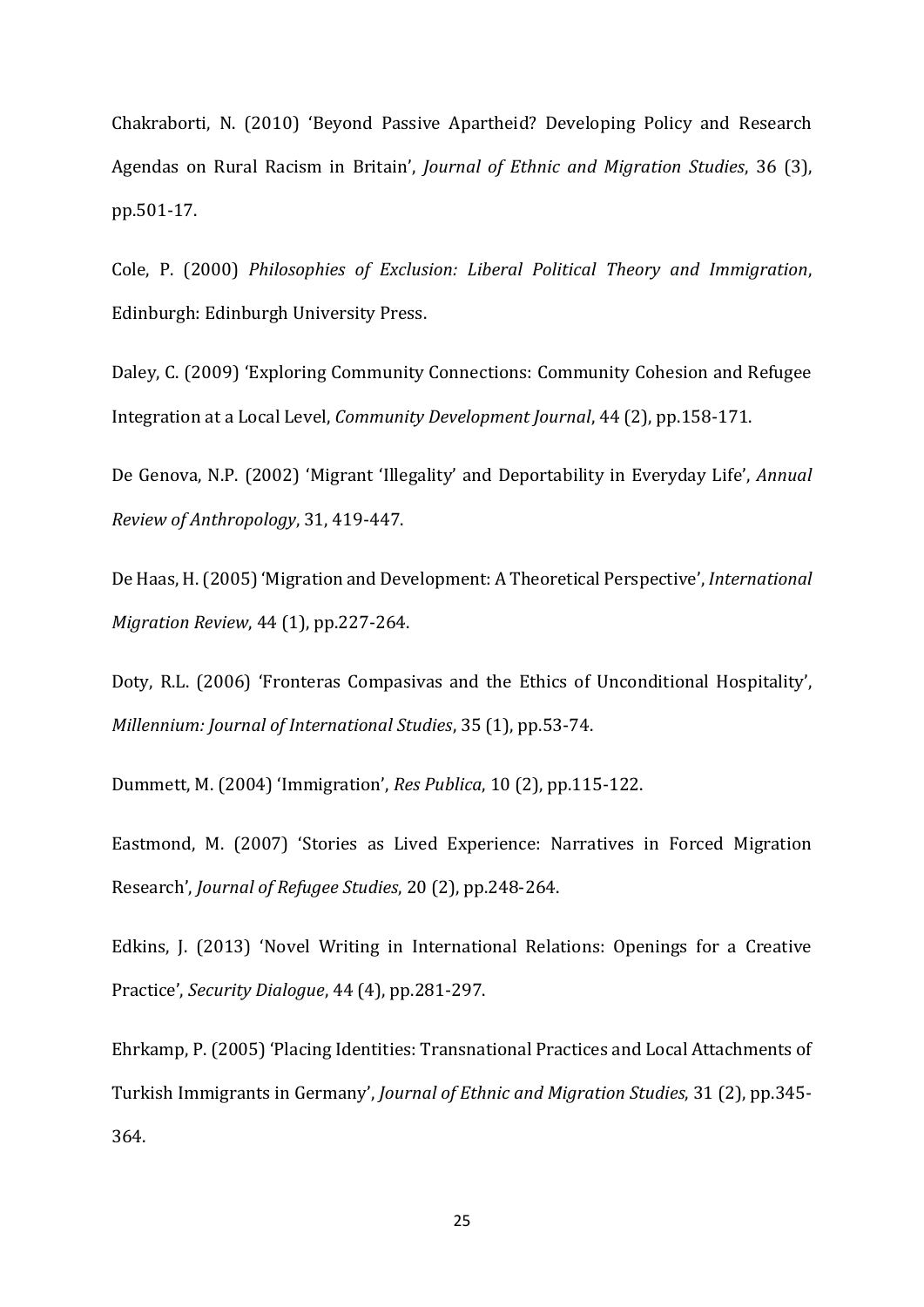Chakraborti, N. (2010) 'Beyond Passive Apartheid? Developing Policy and Research Agendas on Rural Racism in Britain', *Journal of Ethnic and Migration Studies*, 36 (3), pp.501-17.

Cole, P. (2000) *Philosophies of Exclusion: Liberal Political Theory and Immigration*, Edinburgh: Edinburgh University Press.

Daley, C. (2009) 'Exploring Community Connections: Community Cohesion and Refugee Integration at a Local Level, *Community Development Journal*, 44 (2), pp.158-171.

De Genova, N.P. (2002) 'Migrant 'Illegality' and Deportability in Everyday Life', *Annual Review of Anthropology*, 31, 419-447.

De Haas, H.(2005) 'Migration and Development: A Theoretical Perspective', *International Migration Review*, 44 (1), pp.227-264.

Doty, R.L. (2006) 'Fronteras Compasivas and the Ethics of Unconditional Hospitality', *Millennium: Journal of International Studies*, 35 (1), pp.53-74.

Dummett, M. (2004) 'Immigration', *Res Publica*, 10 (2), pp.115-122.

Eastmond, M. (2007) 'Stories as Lived Experience: Narratives in Forced Migration Research', *Journal of Refugee Studies*, 20 (2), pp.248-264.

Edkins, J. (2013) 'Novel Writing in International Relations: Openings for a Creative Practice', *Security Dialogue*, 44 (4), pp.281-297.

Ehrkamp, P. (2005) 'Placing Identities: Transnational Practices and Local Attachments of Turkish Immigrants in Germany', *Journal of Ethnic and Migration Studies*, 31 (2), pp.345- 364.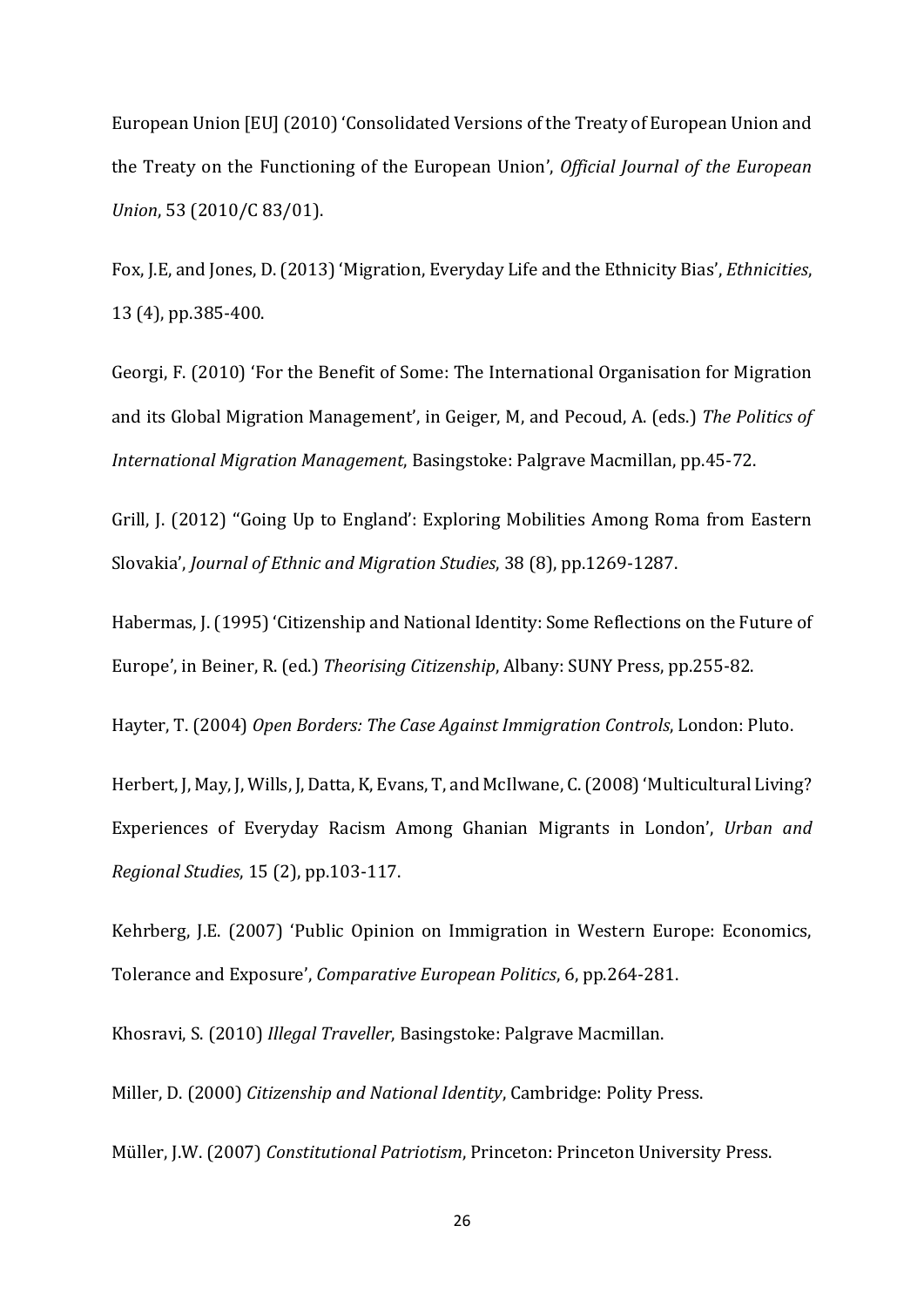European Union [EU] (2010) 'Consolidated Versions of the Treaty of European Union and the Treaty on the Functioning of the European Union', *Official Journal of the European Union*, 53 (2010/C 83/01).

Fox, J.E, and Jones, D. (2013) 'Migration, Everyday Life and the Ethnicity Bias', *Ethnicities*, 13 (4), pp.385-400.

Georgi, F. (2010) 'For the Benefit of Some: The International Organisation for Migration and its Global Migration Management', in Geiger, M, and Pecoud, A. (eds.) *The Politics of International Migration Management*, Basingstoke: Palgrave Macmillan, pp.45-72.

Grill, J. (2012) ''Going Up to England': Exploring Mobilities Among Roma from Eastern Slovakia', *Journal of Ethnic and Migration Studies*, 38 (8), pp.1269-1287.

Habermas, J. (1995) 'Citizenship and National Identity: Some Reflections on the Future of Europe', in Beiner, R. (ed.) *Theorising Citizenship*, Albany: SUNY Press, pp.255-82.

Hayter, T. (2004) *Open Borders: The Case Against Immigration Controls*, London: Pluto.

Herbert, J, May, J, Wills, J, Datta, K, Evans, T, and McIlwane, C. (2008) 'Multicultural Living? Experiences of Everyday Racism Among Ghanian Migrants in London', *Urban and Regional Studies*, 15 (2), pp.103-117.

Kehrberg, J.E. (2007) 'Public Opinion on Immigration in Western Europe: Economics, Tolerance and Exposure', *Comparative European Politics*, 6, pp.264-281.

Khosravi, S. (2010) *Illegal Traveller*, Basingstoke: Palgrave Macmillan.

Miller, D. (2000) *Citizenship and National Identity*, Cambridge: Polity Press. Müller, J.W. (2007) *Constitutional Patriotism*, Princeton: Princeton University Press.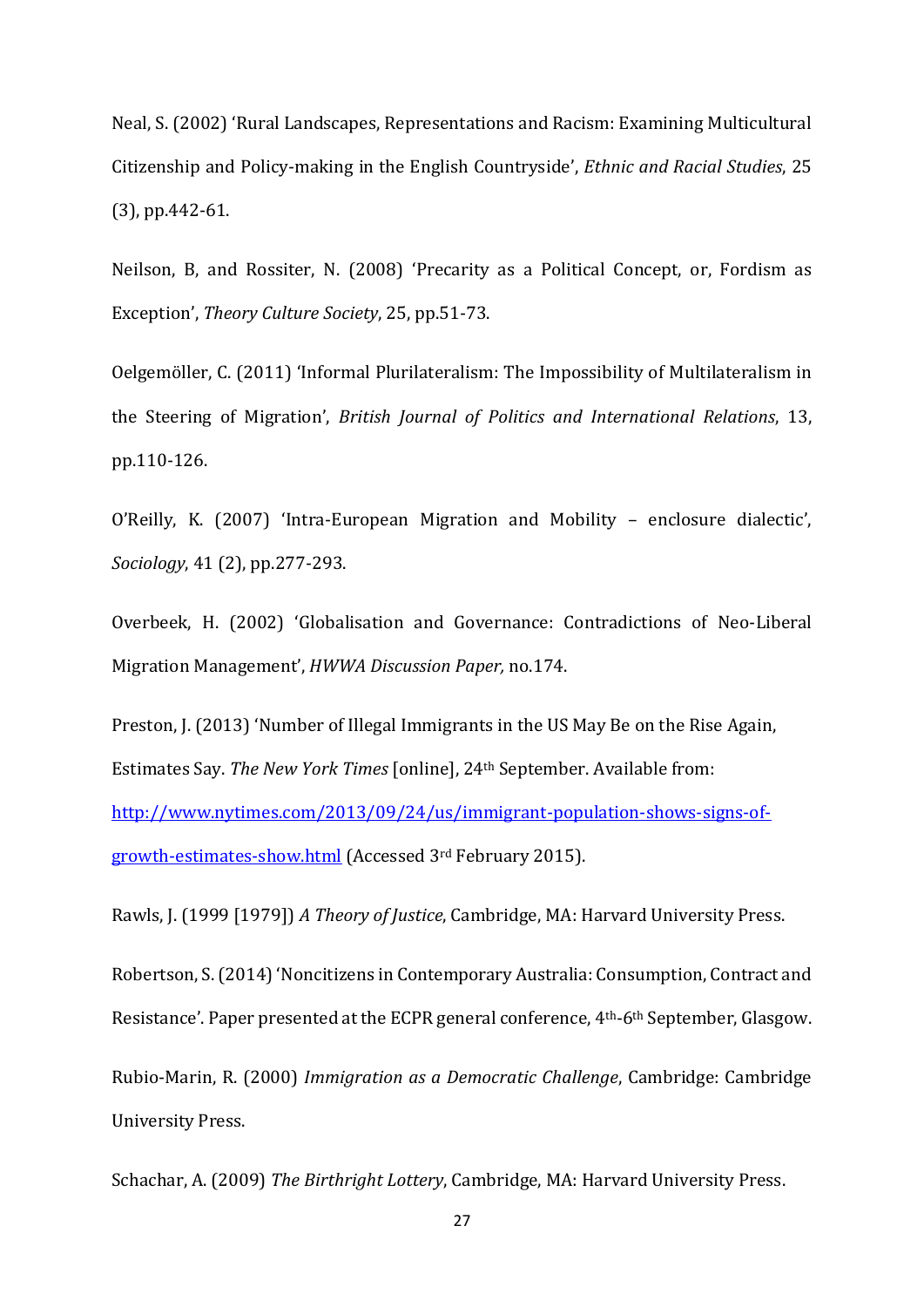Neal, S. (2002) 'Rural Landscapes, Representations and Racism: Examining Multicultural Citizenship and Policy-making in the English Countryside', *Ethnic and Racial Studies*, 25 (3), pp.442-61.

Neilson, B, and Rossiter, N. (2008) 'Precarity as a Political Concept, or, Fordism as Exception', *Theory Culture Society*, 25, pp.51-73.

Oelgemöller, C. (2011) 'Informal Plurilateralism: The Impossibility of Multilateralism in the Steering of Migration', *British Journal of Politics and International Relations*, 13, pp.110-126.

O'Reilly, K. (2007) 'Intra-European Migration and Mobility – enclosure dialectic', *Sociology*, 41 (2), pp.277-293.

Overbeek, H. (2002) 'Globalisation and Governance: Contradictions of Neo-Liberal Migration Management', *HWWA Discussion Paper,* no.174.

Preston, J. (2013) 'Number of Illegal Immigrants in the US May Be on the Rise Again, Estimates Say. *The New York Times* [online], 24th September. Available from: [http://www.nytimes.com/2013/09/24/us/immigrant-population-shows-signs-of](http://www.nytimes.com/2013/09/24/us/immigrant-population-shows-signs-of-growth-estimates-show.html)[growth-estimates-show.html](http://www.nytimes.com/2013/09/24/us/immigrant-population-shows-signs-of-growth-estimates-show.html) (Accessed 3rd February 2015).

Rawls, J. (1999 [1979]) *A Theory of Justice*, Cambridge, MA: Harvard University Press.

Robertson, S. (2014) 'Noncitizens in Contemporary Australia: Consumption, Contract and Resistance'. Paper presented at the ECPR general conference, 4th-6th September, Glasgow.

Rubio-Marin, R. (2000) *Immigration as a Democratic Challenge*, Cambridge: Cambridge University Press.

Schachar, A. (2009) *The Birthright Lottery*, Cambridge, MA: Harvard University Press.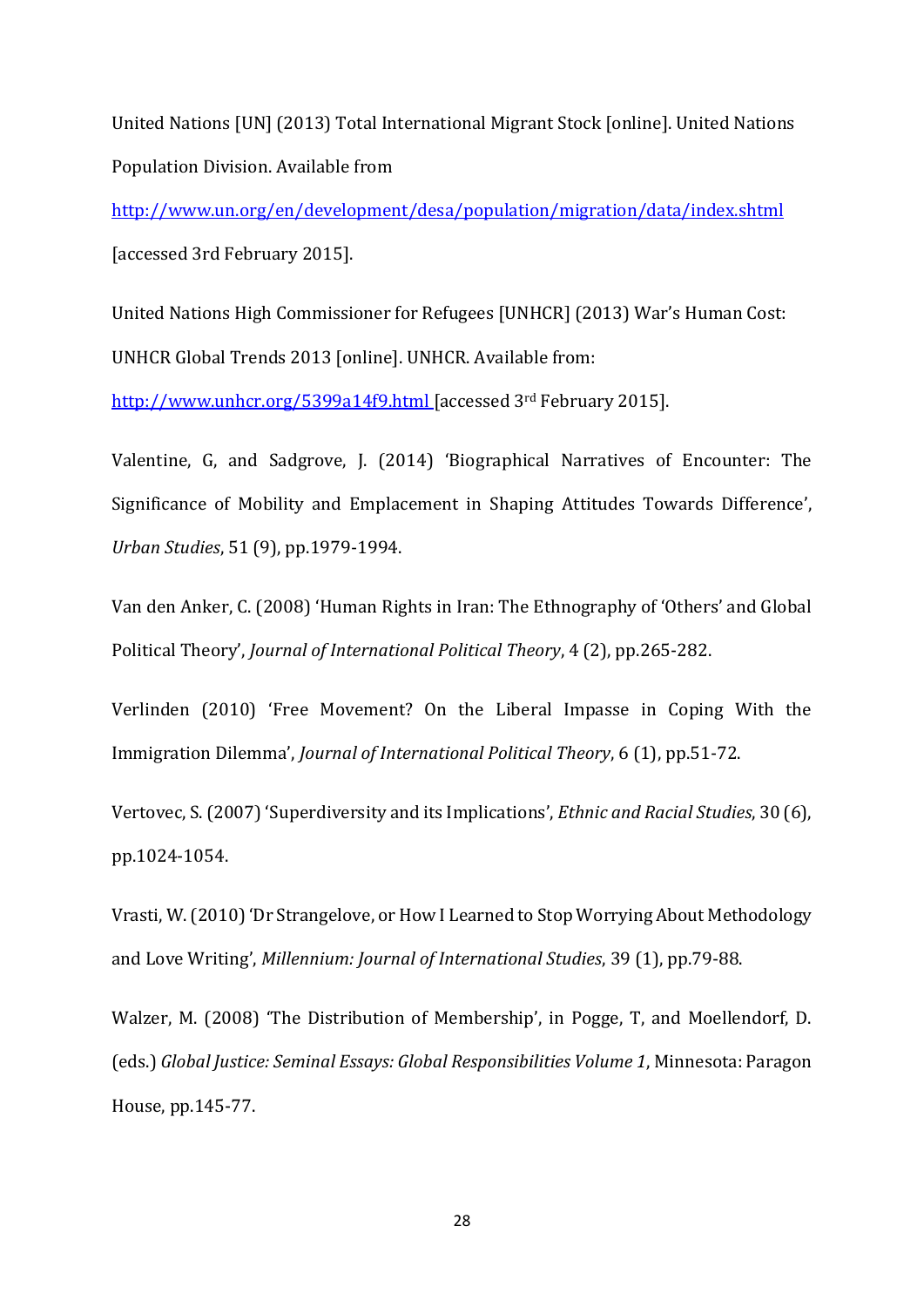United Nations [UN] (2013) Total International Migrant Stock [online]. United Nations Population Division. Available from

<http://www.un.org/en/development/desa/population/migration/data/index.shtml> [accessed 3rd February 2015].

United Nations High Commissioner for Refugees [UNHCR] (2013) War's Human Cost: UNHCR Global Trends 2013 [online]. UNHCR. Available from:

<http://www.unhcr.org/5399a14f9.html> [accessed 3rd February 2015].

Valentine, G, and Sadgrove, J. (2014) 'Biographical Narratives of Encounter: The Significance of Mobility and Emplacement in Shaping Attitudes Towards Difference', *Urban Studies*, 51 (9), pp.1979-1994.

Van den Anker, C. (2008) 'Human Rights in Iran: The Ethnography of 'Others' and Global Political Theory', *Journal of International Political Theory*, 4 (2), pp.265-282.

Verlinden (2010) 'Free Movement? On the Liberal Impasse in Coping With the Immigration Dilemma', *Journal of International Political Theory*, 6 (1), pp.51-72.

Vertovec, S. (2007) 'Superdiversity and its Implications', *Ethnic and Racial Studies*, 30 (6), pp.1024-1054.

Vrasti, W. (2010) 'Dr Strangelove, or How I Learned to Stop Worrying About Methodology and Love Writing', *Millennium: Journal of International Studies*, 39 (1), pp.79-88.

Walzer, M. (2008) 'The Distribution of Membership', in Pogge, T, and Moellendorf, D. (eds.) *Global Justice: Seminal Essays: Global Responsibilities Volume 1*, Minnesota: Paragon House, pp.145-77.